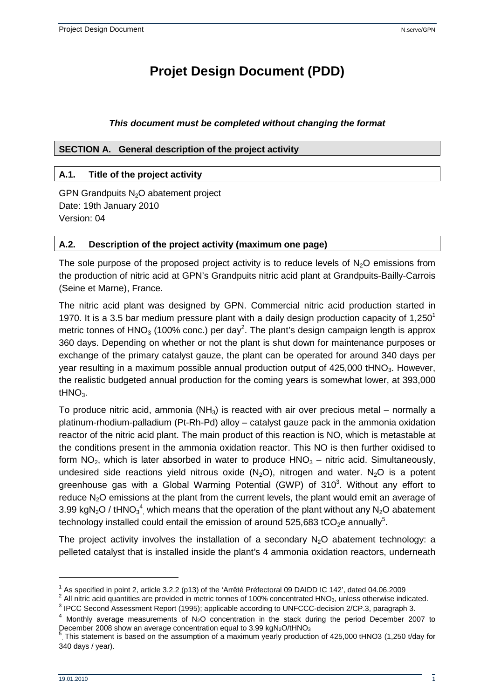# **Projet Design Document (PDD)**

### **This document must be completed without changing the format**

### **SECTION A. General description of the project activity**

### **A.1. Title of the project activity**

GPN Grandpuits  $N<sub>2</sub>O$  abatement project Date: 19th January 2010 Version: 04

### **A.2. Description of the project activity (maximum one page)**

The sole purpose of the proposed project activity is to reduce levels of  $N<sub>2</sub>O$  emissions from the production of nitric acid at GPN's Grandpuits nitric acid plant at Grandpuits-Bailly-Carrois (Seine et Marne), France.

The nitric acid plant was designed by GPN. Commercial nitric acid production started in 1970. It is a 3.5 bar medium pressure plant with a daily design production capacity of 1,250<sup>1</sup> metric tonnes of HNO<sub>3</sub> (100% conc.) per day<sup>2</sup>. The plant's design campaign length is approx 360 days. Depending on whether or not the plant is shut down for maintenance purposes or exchange of the primary catalyst gauze, the plant can be operated for around 340 days per year resulting in a maximum possible annual production output of 425,000 tHNO<sub>3</sub>. However, the realistic budgeted annual production for the coming years is somewhat lower, at 393,000 t $HNO<sub>3</sub>$ .

To produce nitric acid, ammonia ( $NH<sub>3</sub>$ ) is reacted with air over precious metal – normally a platinum-rhodium-palladium (Pt-Rh-Pd) alloy – catalyst gauze pack in the ammonia oxidation reactor of the nitric acid plant. The main product of this reaction is NO, which is metastable at the conditions present in the ammonia oxidation reactor. This NO is then further oxidised to form  $NO<sub>2</sub>$ , which is later absorbed in water to produce  $HNO<sub>3</sub> -$  nitric acid. Simultaneously, undesired side reactions yield nitrous oxide  $(N_2O)$ , nitrogen and water. N<sub>2</sub>O is a potent greenhouse gas with a Global Warming Potential (GWP) of  $310^3$ . Without any effort to reduce N<sub>2</sub>O emissions at the plant from the current levels, the plant would emit an average of 3.99 kgN<sub>2</sub>O / tHNO<sub>3</sub><sup>4</sup>, which means that the operation of the plant without any N<sub>2</sub>O abatement technology installed could entail the emission of around 525,683 tCO<sub>2</sub>e annually<sup>5</sup>.

The project activity involves the installation of a secondary  $N_2O$  abatement technology: a pelleted catalyst that is installed inside the plant's 4 ammonia oxidation reactors, underneath

<sup>&</sup>lt;sup>1</sup> As specified in point 2, article 3.2.2 (p13) of the 'Arrêté Préfectoral 09 DAIDD IC 142', dated 04.06.2009

 $^2$  All nitric acid quantities are provided in metric tonnes of 100% concentrated HNO<sub>3</sub>, unless otherwise indicated.

 $3$  IPCC Second Assessment Report (1995); applicable according to UNFCCC-decision 2/CP.3, paragraph 3.

 $4$  Monthly average measurements of N<sub>2</sub>O concentration in the stack during the period December 2007 to December 2008 show an average concentration equal to  $3.99 \text{ kgN}_2\text{O}/t\text{HNO}_3$ 

<sup>5</sup> . This statement is based on the assumption of a maximum yearly production of 425,000 tHNO3 (1,250 t/day for 340 days / year).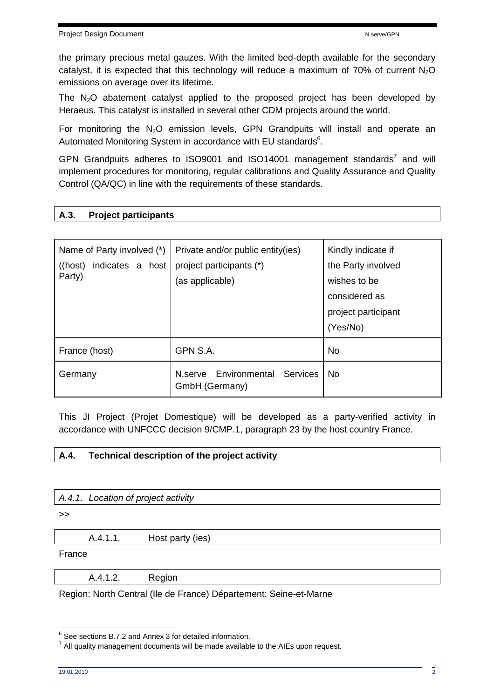the primary precious metal gauzes. With the limited bed-depth available for the secondary catalyst, it is expected that this technology will reduce a maximum of 70% of current  $N_2O$ emissions on average over its lifetime.

The  $N_2O$  abatement catalyst applied to the proposed project has been developed by Heraeus. This catalyst is installed in several other CDM projects around the world.

For monitoring the  $N_2O$  emission levels, GPN Grandpuits will install and operate an Automated Monitoring System in accordance with EU standards<sup>6</sup>.

GPN Grandpuits adheres to ISO9001 and ISO14001 management standards<sup>7</sup> and will implement procedures for monitoring, regular calibrations and Quality Assurance and Quality Control (QA/QC) in line with the requirements of these standards.

## **A.3. Project participants**

| Name of Party involved (*)<br>indicates a host<br>$($ (host)<br>Party) | Private and/or public entity(ies)<br>project participants (*)<br>(as applicable) | Kindly indicate if<br>the Party involved<br>wishes to be<br>considered as<br>project participant<br>(Yes/No) |
|------------------------------------------------------------------------|----------------------------------------------------------------------------------|--------------------------------------------------------------------------------------------------------------|
| France (host)                                                          | GPN S.A.                                                                         | <b>No</b>                                                                                                    |
| Germany                                                                | Environmental<br>Services<br>N.serve<br>GmbH (Germany)                           | No.                                                                                                          |

This JI Project (Projet Domestique) will be developed as a party-verified activity in accordance with UNFCCC decision 9/CMP.1, paragraph 23 by the host country France.

## **A.4. Technical description of the project activity**

A.4.1. Location of project activity

>>

A.4.1.1. Host party (ies)

France

A.4.1.2. Region

Region: North Central (Ile de France) Département: Seine-et-Marne

 6 See sections B.7.2 and Annex 3 for detailed information.

 $<sup>7</sup>$  All quality management documents will be made available to the AIEs upon request.</sup>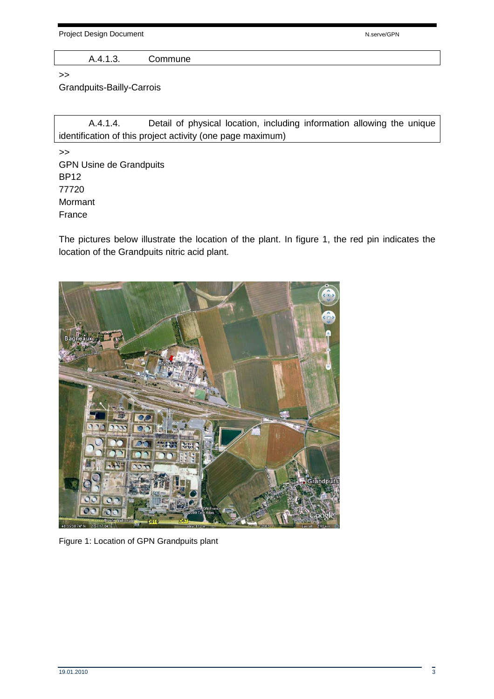Project Design Document National According to the National According National According National According National According National According National According National According National According National According N

A.4.1.3. Commune

>>

Grandpuits-Bailly-Carrois

 A.4.1.4. Detail of physical location, including information allowing the unique identification of this project activity (one page maximum)

>> GPN Usine de Grandpuits BP12 77720 Mormant France

The pictures below illustrate the location of the plant. In figure 1, the red pin indicates the location of the Grandpuits nitric acid plant.



Figure 1: Location of GPN Grandpuits plant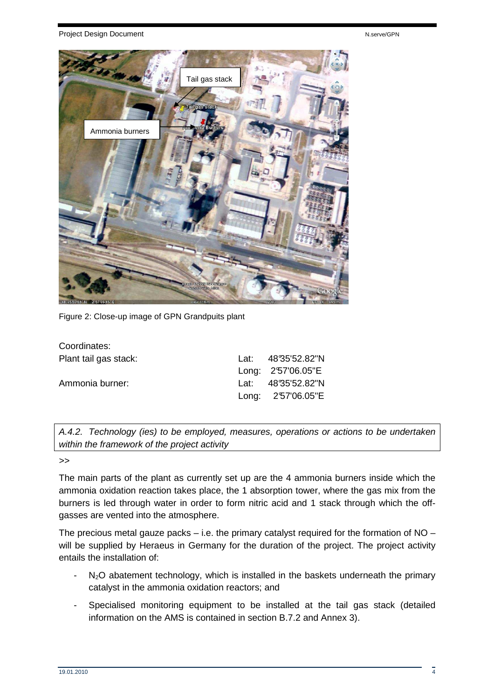#### Project Design Document National According to the New York of New York New York New York New York New York New York New York New York New York New York New York New York New York New York New York New York New York New Yor



Figure 2: Close-up image of GPN Grandpuits plant

| Coordinates:          |                    |
|-----------------------|--------------------|
| Plant tail gas stack: | Lat: 48°35'52.82"N |
|                       | Long: 2'57'06.05"E |
| Ammonia burner:       | Lat: 48°35'52.82"N |
|                       | Long: 2'57'06.05"E |

A.4.2. Technology (ies) to be employed, measures, operations or actions to be undertaken within the framework of the project activity

 $\rightarrow$ 

The main parts of the plant as currently set up are the 4 ammonia burners inside which the ammonia oxidation reaction takes place, the 1 absorption tower, where the gas mix from the burners is led through water in order to form nitric acid and 1 stack through which the offgasses are vented into the atmosphere.

The precious metal gauze packs – i.e. the primary catalyst required for the formation of  $NO$ will be supplied by Heraeus in Germany for the duration of the project. The project activity entails the installation of:

- $-$  N<sub>2</sub>O abatement technology, which is installed in the baskets underneath the primary catalyst in the ammonia oxidation reactors; and
- Specialised monitoring equipment to be installed at the tail gas stack (detailed information on the AMS is contained in section B.7.2 and Annex 3).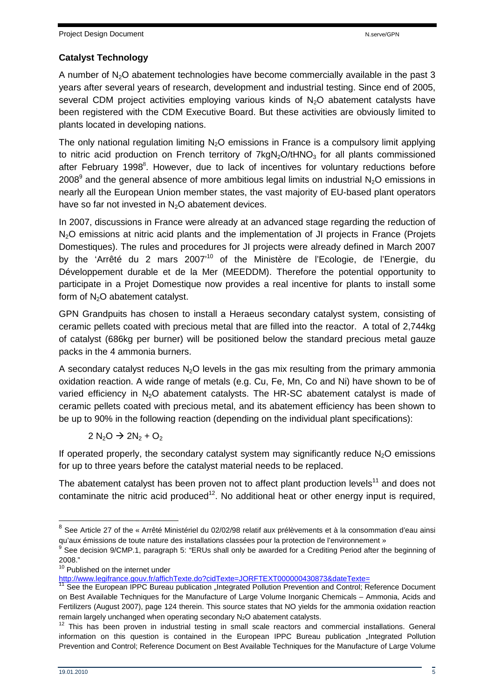## **Catalyst Technology**

A number of  $N_2O$  abatement technologies have become commercially available in the past 3 years after several years of research, development and industrial testing. Since end of 2005, several CDM project activities employing various kinds of  $N_2O$  abatement catalysts have been registered with the CDM Executive Board. But these activities are obviously limited to plants located in developing nations.

The only national regulation limiting  $N<sub>2</sub>O$  emissions in France is a compulsory limit applying to nitric acid production on French territory of  $7kgN<sub>2</sub>O/tHNO<sub>3</sub>$  for all plants commissioned after February 1998<sup>8</sup>. However, due to lack of incentives for voluntary reductions before 2008<sup>9</sup> and the general absence of more ambitious legal limits on industrial N<sub>2</sub>O emissions in nearly all the European Union member states, the vast majority of EU-based plant operators have so far not invested in  $N_2O$  abatement devices.

In 2007, discussions in France were already at an advanced stage regarding the reduction of N<sub>2</sub>O emissions at nitric acid plants and the implementation of JI projects in France (Projets Domestiques). The rules and procedures for JI projects were already defined in March 2007 by the 'Arrêté du 2 mars 2007'<sup>10</sup> of the Ministère de l'Ecologie, de l'Energie, du Développement durable et de la Mer (MEEDDM). Therefore the potential opportunity to participate in a Projet Domestique now provides a real incentive for plants to install some form of  $N_2O$  abatement catalyst.

GPN Grandpuits has chosen to install a Heraeus secondary catalyst system, consisting of ceramic pellets coated with precious metal that are filled into the reactor. A total of 2,744kg of catalyst (686kg per burner) will be positioned below the standard precious metal gauze packs in the 4 ammonia burners.

A secondary catalyst reduces  $N_2O$  levels in the gas mix resulting from the primary ammonia oxidation reaction. A wide range of metals (e.g. Cu, Fe, Mn, Co and Ni) have shown to be of varied efficiency in  $N_2O$  abatement catalysts. The HR-SC abatement catalyst is made of ceramic pellets coated with precious metal, and its abatement efficiency has been shown to be up to 90% in the following reaction (depending on the individual plant specifications):

 $2 N_2O \rightarrow 2N_2 + O_2$ 

If operated properly, the secondary catalyst system may significantly reduce  $N<sub>2</sub>O$  emissions for up to three years before the catalyst material needs to be replaced.

The abatement catalyst has been proven not to affect plant production levels<sup>11</sup> and does not contaminate the nitric acid produced<sup>12</sup>. No additional heat or other energy input is required,

j

<sup>&</sup>lt;sup>8</sup> See Article 27 of the « Arrêté Ministériel du 02/02/98 relatif aux prélèvements et à la consommation d'eau ainsi qu'aux émissions de toute nature des installations classées pour la protection de l'environnement »

<sup>9</sup> See decision 9/CMP.1, paragraph 5: "ERUs shall only be awarded for a Crediting Period after the beginning of 2008."

<sup>&</sup>lt;sup>10</sup> Published on the internet under

http://www.legifrance.gouv.fr/affichTexte.do?cidTexte=JORFTEXT000000430873&dateTexte=

<sup>&</sup>lt;sup>11</sup> See the European IPPC Bureau publication "Integrated Pollution Prevention and Control; Reference Document on Best Available Techniques for the Manufacture of Large Volume Inorganic Chemicals – Ammonia, Acids and Fertilizers (August 2007), page 124 therein. This source states that NO yields for the ammonia oxidation reaction remain largely unchanged when operating secondary  $N<sub>2</sub>O$  abatement catalysts.

 $12$  This has been proven in industrial testing in small scale reactors and commercial installations. General information on this question is contained in the European IPPC Bureau publication "Integrated Pollution Prevention and Control; Reference Document on Best Available Techniques for the Manufacture of Large Volume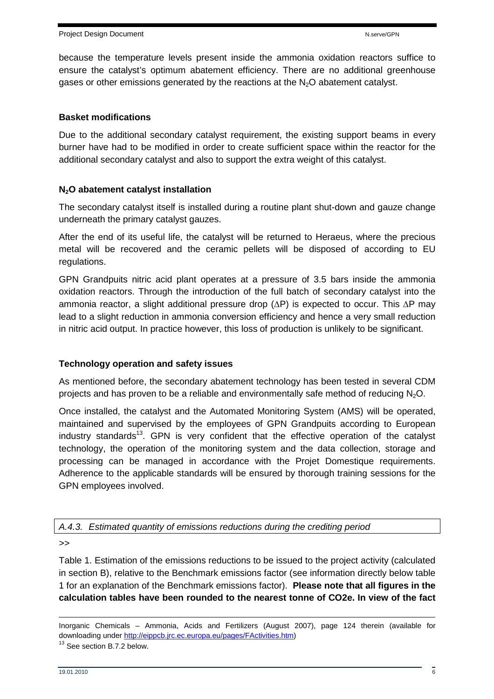because the temperature levels present inside the ammonia oxidation reactors suffice to ensure the catalyst's optimum abatement efficiency. There are no additional greenhouse gases or other emissions generated by the reactions at the  $N_2O$  abatement catalyst.

## **Basket modifications**

Due to the additional secondary catalyst requirement, the existing support beams in every burner have had to be modified in order to create sufficient space within the reactor for the additional secondary catalyst and also to support the extra weight of this catalyst.

## **N2O abatement catalyst installation**

The secondary catalyst itself is installed during a routine plant shut-down and gauze change underneath the primary catalyst gauzes.

After the end of its useful life, the catalyst will be returned to Heraeus, where the precious metal will be recovered and the ceramic pellets will be disposed of according to EU regulations.

GPN Grandpuits nitric acid plant operates at a pressure of 3.5 bars inside the ammonia oxidation reactors. Through the introduction of the full batch of secondary catalyst into the ammonia reactor, a slight additional pressure drop (∆P) is expected to occur. This ∆P may lead to a slight reduction in ammonia conversion efficiency and hence a very small reduction in nitric acid output. In practice however, this loss of production is unlikely to be significant.

#### **Technology operation and safety issues**

As mentioned before, the secondary abatement technology has been tested in several CDM projects and has proven to be a reliable and environmentally safe method of reducing  $N_2O$ .

Once installed, the catalyst and the Automated Monitoring System (AMS) will be operated, maintained and supervised by the employees of GPN Grandpuits according to European industry standards<sup>13</sup>. GPN is very confident that the effective operation of the catalyst technology, the operation of the monitoring system and the data collection, storage and processing can be managed in accordance with the Projet Domestique requirements. Adherence to the applicable standards will be ensured by thorough training sessions for the GPN employees involved.

A.4.3. Estimated quantity of emissions reductions during the crediting period

>>

Table 1. Estimation of the emissions reductions to be issued to the project activity (calculated in section B), relative to the Benchmark emissions factor (see information directly below table 1 for an explanation of the Benchmark emissions factor). **Please note that all figures in the calculation tables have been rounded to the nearest tonne of CO2e. In view of the fact** 

 $\overline{a}$ Inorganic Chemicals – Ammonia, Acids and Fertilizers (August 2007), page 124 therein (available for downloading under http://eippcb.jrc.ec.europa.eu/pages/FActivities.htm)

<sup>&</sup>lt;sup>13</sup> See section B.7.2 below.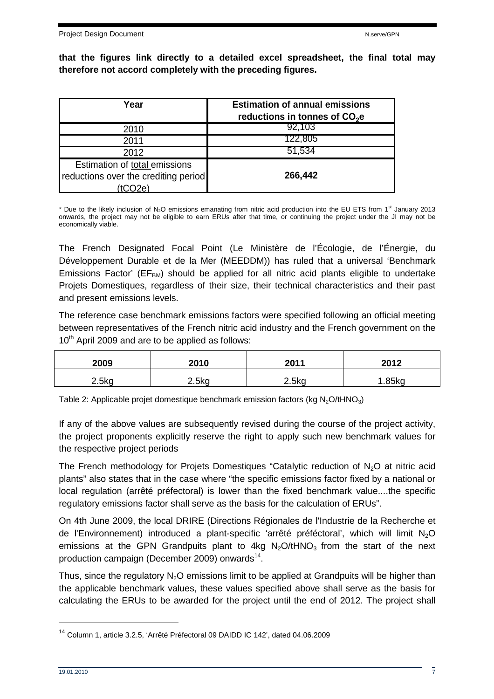**that the figures link directly to a detailed excel spreadsheet, the final total may therefore not accord completely with the preceding figures.** 

| Year                                                                            | <b>Estimation of annual emissions</b><br>reductions in tonnes of $CO2e$ |
|---------------------------------------------------------------------------------|-------------------------------------------------------------------------|
| 2010                                                                            | 92,103                                                                  |
| 2011                                                                            | 122,805                                                                 |
| 2012                                                                            | 51,534                                                                  |
| Estimation of total emissions<br>reductions over the crediting period<br>tCO2e) | 266,442                                                                 |

\* Due to the likely inclusion of  $N_2O$  emissions emanating from nitric acid production into the EU ETS from 1<sup>st</sup> January 2013 onwards, the project may not be eligible to earn ERUs after that time, or continuing the project under the JI may not be economically viable.

The French Designated Focal Point (Le Ministère de l'Écologie, de l'Énergie, du Développement Durable et de la Mer (MEEDDM)) has ruled that a universal 'Benchmark Emissions Factor' ( $EF<sub>BM</sub>$ ) should be applied for all nitric acid plants eligible to undertake Projets Domestiques, regardless of their size, their technical characteristics and their past and present emissions levels.

The reference case benchmark emissions factors were specified following an official meeting between representatives of the French nitric acid industry and the French government on the  $10<sup>th</sup>$  April 2009 and are to be applied as follows:

| 2009  | 2010  | 2011  | 2012 |
|-------|-------|-------|------|
| 2.5kg | 2.5kg | 2.5kg | 85ka |

Table 2: Applicable projet domestique benchmark emission factors (kg  $N_2O/tHNO_3$ )

If any of the above values are subsequently revised during the course of the project activity, the project proponents explicitly reserve the right to apply such new benchmark values for the respective project periods

The French methodology for Projets Domestiques "Catalytic reduction of  $N_2O$  at nitric acid plants" also states that in the case where "the specific emissions factor fixed by a national or local regulation (arrêté préfectoral) is lower than the fixed benchmark value....the specific regulatory emissions factor shall serve as the basis for the calculation of ERUs".

On 4th June 2009, the local DRIRE (Directions Régionales de l'Industrie de la Recherche et de l'Environnement) introduced a plant-specific 'arrêté préféctoral', which will limit N2O emissions at the GPN Grandpuits plant to  $4kg$  N<sub>2</sub>O/tHNO<sub>3</sub> from the start of the next production campaign (December 2009) onwards<sup>14</sup>.

Thus, since the regulatory  $N_2O$  emissions limit to be applied at Grandpuits will be higher than the applicable benchmark values, these values specified above shall serve as the basis for calculating the ERUs to be awarded for the project until the end of 2012. The project shall

<sup>14</sup> Column 1, article 3.2.5, 'Arrêté Préfectoral 09 DAIDD IC 142', dated 04.06.2009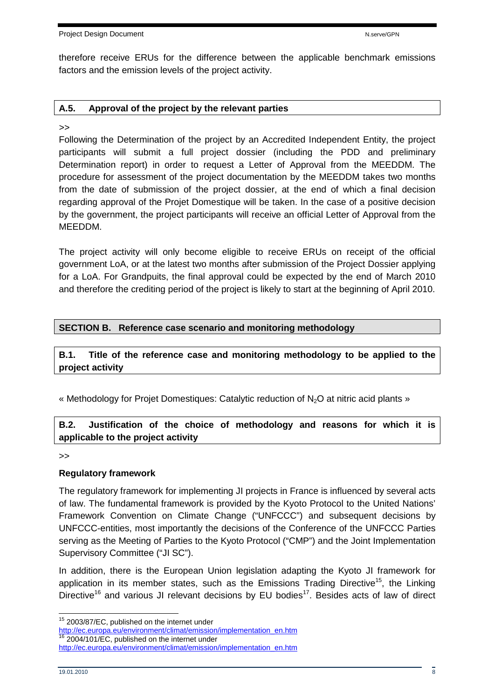therefore receive ERUs for the difference between the applicable benchmark emissions factors and the emission levels of the project activity.

### **A.5. Approval of the project by the relevant parties**

>>

Following the Determination of the project by an Accredited Independent Entity, the project participants will submit a full project dossier (including the PDD and preliminary Determination report) in order to request a Letter of Approval from the MEEDDM. The procedure for assessment of the project documentation by the MEEDDM takes two months from the date of submission of the project dossier, at the end of which a final decision regarding approval of the Projet Domestique will be taken. In the case of a positive decision by the government, the project participants will receive an official Letter of Approval from the MEEDDM.

The project activity will only become eligible to receive ERUs on receipt of the official government LoA, or at the latest two months after submission of the Project Dossier applying for a LoA. For Grandpuits, the final approval could be expected by the end of March 2010 and therefore the crediting period of the project is likely to start at the beginning of April 2010.

## **SECTION B. Reference case scenario and monitoring methodology**

## **B.1. Title of the reference case and monitoring methodology to be applied to the project activity**

« Methodology for Projet Domestiques: Catalytic reduction of N<sub>2</sub>O at nitric acid plants »

## **B.2. Justification of the choice of methodology and reasons for which it is applicable to the project activity**

>>

## **Regulatory framework**

The regulatory framework for implementing JI projects in France is influenced by several acts of law. The fundamental framework is provided by the Kyoto Protocol to the United Nations' Framework Convention on Climate Change ("UNFCCC") and subsequent decisions by UNFCCC-entities, most importantly the decisions of the Conference of the UNFCCC Parties serving as the Meeting of Parties to the Kyoto Protocol ("CMP") and the Joint Implementation Supervisory Committee ("JI SC").

In addition, there is the European Union legislation adapting the Kyoto JI framework for application in its member states, such as the Emissions Trading Directive<sup>15</sup>, the Linking Directive<sup>16</sup> and various JI relevant decisions by EU bodies<sup>17</sup>. Besides acts of law of direct

 <sup>15</sup> 2003/87/EC, published on the internet under

http://ec.europa.eu/environment/climat/emission/implementation\_en.htm 2004/101/EC, published on the internet under http://ec.europa.eu/environment/climat/emission/implementation\_en.htm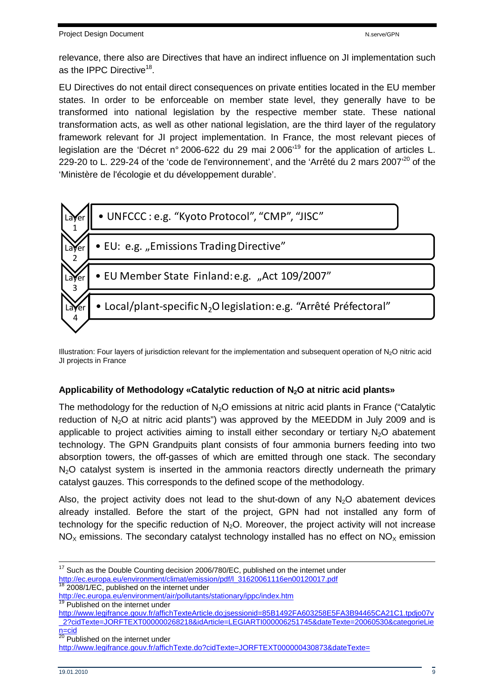relevance, there also are Directives that have an indirect influence on JI implementation such as the IPPC Directive<sup>18</sup>.

EU Directives do not entail direct consequences on private entities located in the EU member states. In order to be enforceable on member state level, they generally have to be transformed into national legislation by the respective member state. These national transformation acts, as well as other national legislation, are the third layer of the regulatory framework relevant for JI project implementation. In France, the most relevant pieces of legislation are the 'Décret n° 2006-622 du 29 mai 2 006'<sup>19</sup> for the application of articles L. 229-20 to L. 229-24 of the 'code de l'environnement', and the 'Arrêté du 2 mars 2007<sup>'20</sup> of the 'Ministère de l'écologie et du développement durable'.



Illustration: Four layers of jurisdiction relevant for the implementation and subsequent operation of N2O nitric acid JI projects in France

## **Applicability of Methodology «Catalytic reduction of N2O at nitric acid plants»**

The methodology for the reduction of  $N<sub>2</sub>O$  emissions at nitric acid plants in France ("Catalytic reduction of  $N_2O$  at nitric acid plants") was approved by the MEEDDM in July 2009 and is applicable to project activities aiming to install either secondary or tertiary  $N_2O$  abatement technology. The GPN Grandpuits plant consists of four ammonia burners feeding into two absorption towers, the off-gasses of which are emitted through one stack. The secondary  $N<sub>2</sub>O$  catalyst system is inserted in the ammonia reactors directly underneath the primary catalyst gauzes. This corresponds to the defined scope of the methodology.

Also, the project activity does not lead to the shut-down of any  $N_2O$  abatement devices already installed. Before the start of the project, GPN had not installed any form of technology for the specific reduction of  $N<sub>2</sub>O$ . Moreover, the project activity will not increase  $NO<sub>x</sub>$  emissions. The secondary catalyst technology installed has no effect on  $NO<sub>x</sub>$  emission

http://www.legifrance.gouv.fr/affichTexteArticle.do;jsessionid=85B1492FA603258E5FA3B94465CA21C1.tpdjo07v \_2?cidTexte=JORFTEXT000000268218&idArticle=LEGIARTI000006251745&dateTexte=20060530&categorieLie  $rac{\text{ncid}}{20}$ 

 $17$  Such as the Double Counting decision 2006/780/EC, published on the internet under http://ec.europa.eu/environment/climat/emission/pdf/l\_31620061116en00120017.pdf

**<sup>18 2008/1/</sup>EC, published on the internet under** 

http://ec.europa.eu/environment/air/pollutants/stationary/ippc/index.htm

<sup>&</sup>lt;sup>19</sup> Published on the internet under

Published on the internet under

http://www.legifrance.gouv.fr/affichTexte.do?cidTexte=JORFTEXT000000430873&dateTexte=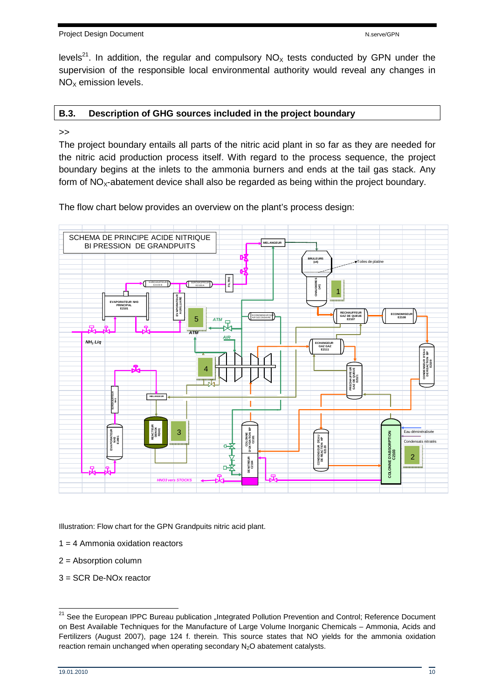Project Design Document National According to the New York of New York New York New York New York New York New York New York New York New York New York New York New York New York New York New York New York New York New Yor

levels<sup>21</sup>. In addition, the regular and compulsory  $NO<sub>x</sub>$  tests conducted by GPN under the supervision of the responsible local environmental authority would reveal any changes in  $NO<sub>x</sub>$  emission levels.

## **B.3. Description of GHG sources included in the project boundary**

#### >>

The project boundary entails all parts of the nitric acid plant in so far as they are needed for the nitric acid production process itself. With regard to the process sequence, the project boundary begins at the inlets to the ammonia burners and ends at the tail gas stack. Any form of  $NO<sub>x</sub>$ -abatement device shall also be regarded as being within the project boundary.

The flow chart below provides an overview on the plant's process design:



Illustration: Flow chart for the GPN Grandpuits nitric acid plant.

- $1 = 4$  Ammonia oxidation reactors
- 2 = Absorption column
- 3 = SCR De-NOx reactor

<sup>&</sup>lt;sup>21</sup> See the European IPPC Bureau publication "Integrated Pollution Prevention and Control; Reference Document on Best Available Techniques for the Manufacture of Large Volume Inorganic Chemicals – Ammonia, Acids and Fertilizers (August 2007), page 124 f. therein. This source states that NO yields for the ammonia oxidation reaction remain unchanged when operating secondary N<sub>2</sub>O abatement catalysts.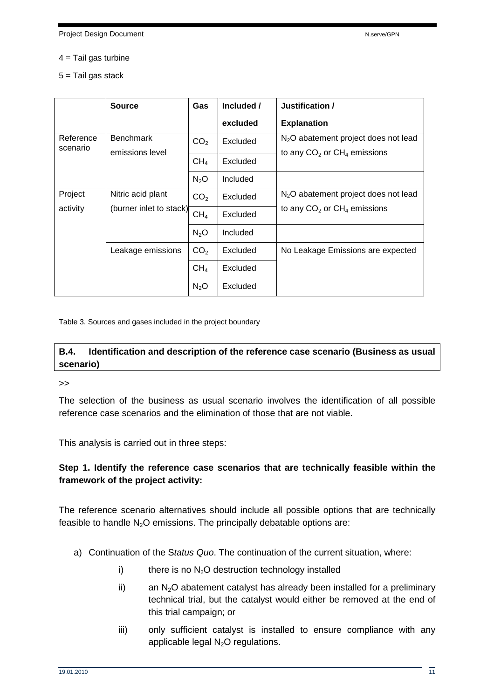#### $4 =$ Tail gas turbine

5 = Tail gas stack

|                       | <b>Source</b>                                | Gas              | Included / | Justification /                                                                     |
|-----------------------|----------------------------------------------|------------------|------------|-------------------------------------------------------------------------------------|
|                       |                                              |                  | excluded   | <b>Explanation</b>                                                                  |
| Reference<br>scenario | <b>Benchmark</b><br>emissions level          | CO <sub>2</sub>  | Excluded   | N <sub>2</sub> O abatement project does not lead                                    |
|                       |                                              | CH <sub>4</sub>  | Excluded   | to any $CO2$ or $CH4$ emissions                                                     |
|                       |                                              | N <sub>2</sub> O | Included   |                                                                                     |
| Project               | Nitric acid plant<br>(burner inlet to stack) | CO <sub>2</sub>  | Excluded   | N <sub>2</sub> O abatement project does not lead<br>to any $CO2$ or $CH4$ emissions |
| activity              |                                              | CH <sub>4</sub>  | Excluded   |                                                                                     |
|                       |                                              | N <sub>2</sub> O | Included   |                                                                                     |
|                       | Leakage emissions                            | CO <sub>2</sub>  | Excluded   | No Leakage Emissions are expected                                                   |
|                       |                                              | CH <sub>4</sub>  | Excluded   |                                                                                     |
|                       |                                              | N <sub>2</sub> O | Excluded   |                                                                                     |

Table 3. Sources and gases included in the project boundary

## **B.4. Identification and description of the reference case scenario (Business as usual scenario)**

>>

The selection of the business as usual scenario involves the identification of all possible reference case scenarios and the elimination of those that are not viable.

This analysis is carried out in three steps:

## **Step 1. Identify the reference case scenarios that are technically feasible within the framework of the project activity:**

The reference scenario alternatives should include all possible options that are technically feasible to handle  $N_2O$  emissions. The principally debatable options are:

- a) Continuation of the Status Quo. The continuation of the current situation, where:
	- i) there is no  $N_2O$  destruction technology installed
	- ii) an  $N_2O$  abatement catalyst has already been installed for a preliminary technical trial, but the catalyst would either be removed at the end of this trial campaign; or
	- iii) only sufficient catalyst is installed to ensure compliance with any applicable legal  $N_2O$  regulations.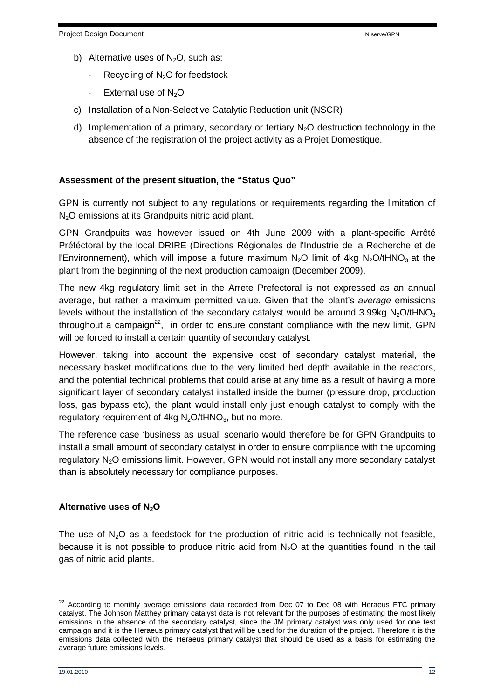- b) Alternative uses of  $N_2O$ , such as:
	- Recycling of  $N_2O$  for feedstock
	- External use of  $N_2O$
- c) Installation of a Non-Selective Catalytic Reduction unit (NSCR)
- d) Implementation of a primary, secondary or tertiary  $N<sub>2</sub>O$  destruction technology in the absence of the registration of the project activity as a Projet Domestique.

### **Assessment of the present situation, the "Status Quo"**

GPN is currently not subject to any regulations or requirements regarding the limitation of N<sub>2</sub>O emissions at its Grandpuits nitric acid plant.

GPN Grandpuits was however issued on 4th June 2009 with a plant-specific Arrêté Préféctoral by the local DRIRE (Directions Régionales de l'Industrie de la Recherche et de l'Environnement), which will impose a future maximum  $N<sub>2</sub>O$  limit of 4kg  $N<sub>2</sub>O/tHNO<sub>3</sub>$  at the plant from the beginning of the next production campaign (December 2009).

The new 4kg regulatory limit set in the Arrete Prefectoral is not expressed as an annual average, but rather a maximum permitted value. Given that the plant's average emissions levels without the installation of the secondary catalyst would be around 3.99kg  $N_2O/tHNO_3$ throughout a campaign<sup>22</sup>, in order to ensure constant compliance with the new limit, GPN will be forced to install a certain quantity of secondary catalyst.

However, taking into account the expensive cost of secondary catalyst material, the necessary basket modifications due to the very limited bed depth available in the reactors, and the potential technical problems that could arise at any time as a result of having a more significant layer of secondary catalyst installed inside the burner (pressure drop, production loss, gas bypass etc), the plant would install only just enough catalyst to comply with the regulatory requirement of 4kg  $N_2O/tHNO_3$ , but no more.

The reference case 'business as usual' scenario would therefore be for GPN Grandpuits to install a small amount of secondary catalyst in order to ensure compliance with the upcoming regulatory N<sub>2</sub>O emissions limit. However, GPN would not install any more secondary catalyst than is absolutely necessary for compliance purposes.

## **Alternative uses of N2O**

The use of  $N_2O$  as a feedstock for the production of nitric acid is technically not feasible, because it is not possible to produce nitric acid from  $N_2O$  at the quantities found in the tail gas of nitric acid plants.

 $^{22}$  According to monthly average emissions data recorded from Dec 07 to Dec 08 with Heraeus FTC primary catalyst. The Johnson Matthey primary catalyst data is not relevant for the purposes of estimating the most likely emissions in the absence of the secondary catalyst, since the JM primary catalyst was only used for one test campaign and it is the Heraeus primary catalyst that will be used for the duration of the project. Therefore it is the emissions data collected with the Heraeus primary catalyst that should be used as a basis for estimating the average future emissions levels.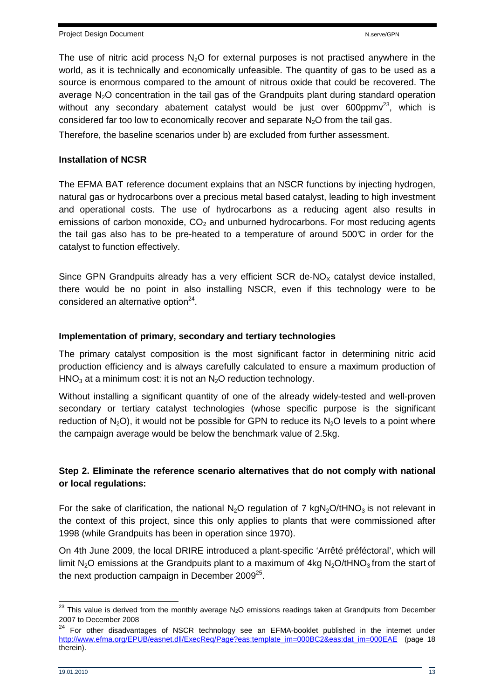The use of nitric acid process  $N<sub>2</sub>O$  for external purposes is not practised anywhere in the world, as it is technically and economically unfeasible. The quantity of gas to be used as a source is enormous compared to the amount of nitrous oxide that could be recovered. The average  $N<sub>2</sub>O$  concentration in the tail gas of the Grandpuits plant during standard operation without any secondary abatement catalyst would be just over  $600$ ppm $v^{23}$ , which is considered far too low to economically recover and separate  $N_2O$  from the tail gas.

Therefore, the baseline scenarios under b) are excluded from further assessment.

### **Installation of NCSR**

The EFMA BAT reference document explains that an NSCR functions by injecting hydrogen, natural gas or hydrocarbons over a precious metal based catalyst, leading to high investment and operational costs. The use of hydrocarbons as a reducing agent also results in emissions of carbon monoxide,  $CO<sub>2</sub>$  and unburned hydrocarbons. For most reducing agents the tail gas also has to be pre-heated to a temperature of around  $500\degree$  in order for the catalyst to function effectively.

Since GPN Grandpuits already has a very efficient SCR de-NO<sub> $x$ </sub> catalyst device installed, there would be no point in also installing NSCR, even if this technology were to be considered an alternative option $24$ .

### **Implementation of primary, secondary and tertiary technologies**

The primary catalyst composition is the most significant factor in determining nitric acid production efficiency and is always carefully calculated to ensure a maximum production of  $HNO<sub>3</sub>$  at a minimum cost: it is not an  $N<sub>2</sub>O$  reduction technology.

Without installing a significant quantity of one of the already widely-tested and well-proven secondary or tertiary catalyst technologies (whose specific purpose is the significant reduction of  $N_2O$ ), it would not be possible for GPN to reduce its  $N_2O$  levels to a point where the campaign average would be below the benchmark value of 2.5kg.

## **Step 2. Eliminate the reference scenario alternatives that do not comply with national or local regulations:**

For the sake of clarification, the national N<sub>2</sub>O regulation of 7 kgN<sub>2</sub>O/tHNO<sub>3</sub> is not relevant in the context of this project, since this only applies to plants that were commissioned after 1998 (while Grandpuits has been in operation since 1970).

On 4th June 2009, the local DRIRE introduced a plant-specific 'Arrêté préféctoral', which will limit N<sub>2</sub>O emissions at the Grandpuits plant to a maximum of 4kg N<sub>2</sub>O/tHNO<sub>3</sub> from the start of the next production campaign in December 2009 $^{25}$ .

 $^{23}$  This value is derived from the monthly average N<sub>2</sub>O emissions readings taken at Grandpuits from December 2007 to December 2008

<sup>24</sup> For other disadvantages of NSCR technology see an EFMA-booklet published in the internet under http://www.efma.org/EPUB/easnet.dll/ExecReq/Page?eas:template\_im=000BC2&eas:dat\_im=000EAE (page 18 therein).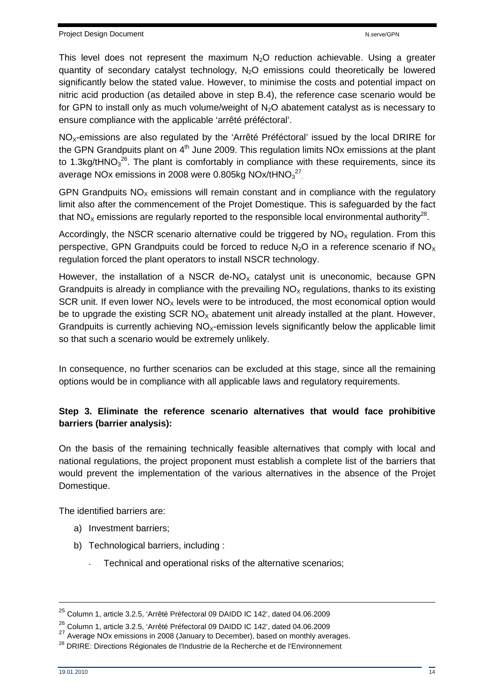This level does not represent the maximum  $N<sub>2</sub>O$  reduction achievable. Using a greater quantity of secondary catalyst technology,  $N<sub>2</sub>O$  emissions could theoretically be lowered significantly below the stated value. However, to minimise the costs and potential impact on nitric acid production (as detailed above in step B.4), the reference case scenario would be for GPN to install only as much volume/weight of N<sub>2</sub>O abatement catalyst as is necessary to ensure compliance with the applicable 'arrêté préféctoral'.

NO<sub>x</sub>-emissions are also regulated by the 'Arrêté Préféctoral' issued by the local DRIRE for the GPN Grandpuits plant on  $4<sup>th</sup>$  June 2009. This regulation limits NO<sub>x</sub> emissions at the plant to 1.3kg/tHNO<sub>3</sub><sup>26</sup>. The plant is comfortably in compliance with these requirements, since its average NOx emissions in 2008 were 0.805kg NOx/tHNO $_3^{27}$ .

GPN Grandpuits  $NO<sub>x</sub>$  emissions will remain constant and in compliance with the regulatory limit also after the commencement of the Projet Domestique. This is safeguarded by the fact that NO<sub>x</sub> emissions are regularly reported to the responsible local environmental authority<sup>28</sup>.

Accordingly, the NSCR scenario alternative could be triggered by  $NO<sub>x</sub>$  regulation. From this perspective, GPN Grandpuits could be forced to reduce  $N_2O$  in a reference scenario if  $NO<sub>x</sub>$ regulation forced the plant operators to install NSCR technology.

However, the installation of a NSCR de-NO<sub> $x$ </sub> catalyst unit is uneconomic, because GPN Grandpuits is already in compliance with the prevailing  $NO<sub>x</sub>$  regulations, thanks to its existing SCR unit. If even lower  $NO<sub>x</sub>$  levels were to be introduced, the most economical option would be to upgrade the existing SCR  $NO<sub>x</sub>$  abatement unit already installed at the plant. However, Grandpuits is currently achieving  $NO<sub>x</sub>$ -emission levels significantly below the applicable limit so that such a scenario would be extremely unlikely.

In consequence, no further scenarios can be excluded at this stage, since all the remaining options would be in compliance with all applicable laws and regulatory requirements.

## **Step 3. Eliminate the reference scenario alternatives that would face prohibitive barriers (barrier analysis):**

On the basis of the remaining technically feasible alternatives that comply with local and national regulations, the project proponent must establish a complete list of the barriers that would prevent the implementation of the various alternatives in the absence of the Projet Domestique.

The identified barriers are:

- a) Investment barriers;
- b) Technological barriers, including :
	- Technical and operational risks of the alternative scenarios;

<sup>25</sup> Column 1, article 3.2.5, 'Arrêté Préfectoral 09 DAIDD IC 142', dated 04.06.2009

<sup>26</sup> Column 1, article 3.2.5, 'Arrêté Préfectoral 09 DAIDD IC 142', dated 04.06.2009

 $27$  Average NOx emissions in 2008 (January to December), based on monthly averages.

<sup>&</sup>lt;sup>28</sup> DRIRE: Directions Régionales de l'Industrie de la Recherche et de l'Environnement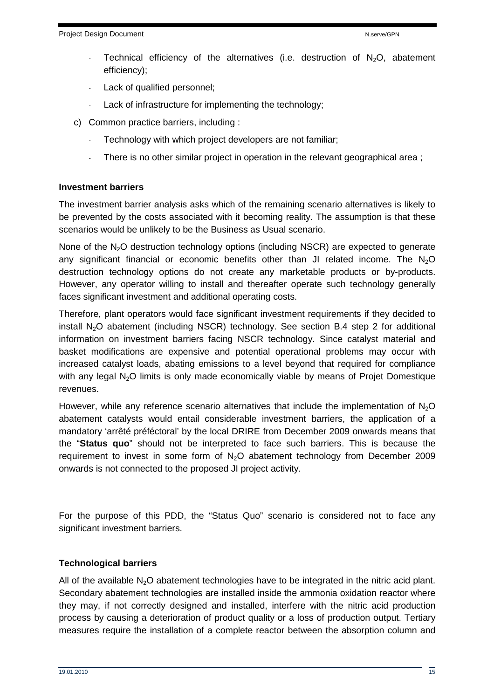- Technical efficiency of the alternatives (i.e. destruction of  $N_2O$ , abatement efficiency);
- Lack of qualified personnel;
- Lack of infrastructure for implementing the technology;
- c) Common practice barriers, including :
	- Technology with which project developers are not familiar;
	- There is no other similar project in operation in the relevant geographical area;

#### **Investment barriers**

The investment barrier analysis asks which of the remaining scenario alternatives is likely to be prevented by the costs associated with it becoming reality. The assumption is that these scenarios would be unlikely to be the Business as Usual scenario.

None of the  $N_2O$  destruction technology options (including NSCR) are expected to generate any significant financial or economic benefits other than JI related income. The  $N_2O$ destruction technology options do not create any marketable products or by-products. However, any operator willing to install and thereafter operate such technology generally faces significant investment and additional operating costs.

Therefore, plant operators would face significant investment requirements if they decided to install  $N_2O$  abatement (including NSCR) technology. See section B.4 step 2 for additional information on investment barriers facing NSCR technology. Since catalyst material and basket modifications are expensive and potential operational problems may occur with increased catalyst loads, abating emissions to a level beyond that required for compliance with any legal  $N_2O$  limits is only made economically viable by means of Projet Domestique revenues.

However, while any reference scenario alternatives that include the implementation of  $N_2O$ abatement catalysts would entail considerable investment barriers, the application of a mandatory 'arrêté préféctoral' by the local DRIRE from December 2009 onwards means that the "**Status quo**" should not be interpreted to face such barriers. This is because the requirement to invest in some form of N2O abatement technology from December 2009 onwards is not connected to the proposed JI project activity.

For the purpose of this PDD, the "Status Quo" scenario is considered not to face any significant investment barriers.

#### **Technological barriers**

All of the available  $N<sub>2</sub>O$  abatement technologies have to be integrated in the nitric acid plant. Secondary abatement technologies are installed inside the ammonia oxidation reactor where they may, if not correctly designed and installed, interfere with the nitric acid production process by causing a deterioration of product quality or a loss of production output. Tertiary measures require the installation of a complete reactor between the absorption column and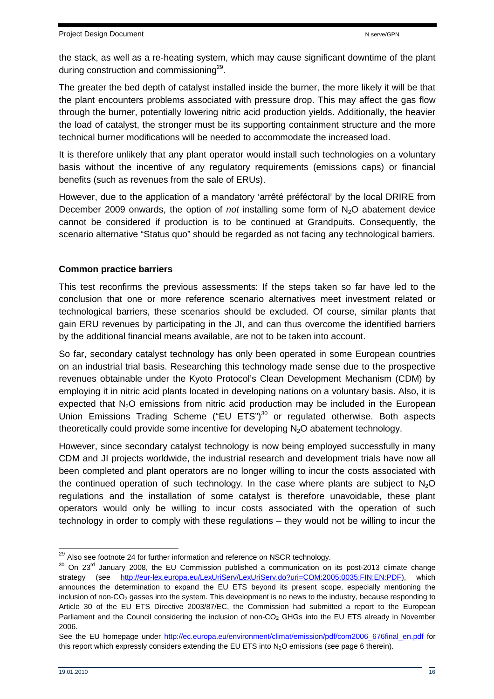the stack, as well as a re-heating system, which may cause significant downtime of the plant during construction and commissioning<sup>29</sup>.

The greater the bed depth of catalyst installed inside the burner, the more likely it will be that the plant encounters problems associated with pressure drop. This may affect the gas flow through the burner, potentially lowering nitric acid production yields. Additionally, the heavier the load of catalyst, the stronger must be its supporting containment structure and the more technical burner modifications will be needed to accommodate the increased load.

It is therefore unlikely that any plant operator would install such technologies on a voluntary basis without the incentive of any regulatory requirements (emissions caps) or financial benefits (such as revenues from the sale of ERUs).

However, due to the application of a mandatory 'arrêté préféctoral' by the local DRIRE from December 2009 onwards, the option of *not* installing some form of  $N<sub>2</sub>O$  abatement device cannot be considered if production is to be continued at Grandpuits. Consequently, the scenario alternative "Status quo" should be regarded as not facing any technological barriers.

## **Common practice barriers**

This test reconfirms the previous assessments: If the steps taken so far have led to the conclusion that one or more reference scenario alternatives meet investment related or technological barriers, these scenarios should be excluded. Of course, similar plants that gain ERU revenues by participating in the JI, and can thus overcome the identified barriers by the additional financial means available, are not to be taken into account.

So far, secondary catalyst technology has only been operated in some European countries on an industrial trial basis. Researching this technology made sense due to the prospective revenues obtainable under the Kyoto Protocol's Clean Development Mechanism (CDM) by employing it in nitric acid plants located in developing nations on a voluntary basis. Also, it is expected that  $N<sub>2</sub>O$  emissions from nitric acid production may be included in the European Union Emissions Trading Scheme ("EU ETS")<sup>30</sup> or regulated otherwise. Both aspects theoretically could provide some incentive for developing  $N_2O$  abatement technology.

However, since secondary catalyst technology is now being employed successfully in many CDM and JI projects worldwide, the industrial research and development trials have now all been completed and plant operators are no longer willing to incur the costs associated with the continued operation of such technology. In the case where plants are subject to  $N_2O$ regulations and the installation of some catalyst is therefore unavoidable, these plant operators would only be willing to incur costs associated with the operation of such technology in order to comply with these regulations – they would not be willing to incur the

j  $29$  Also see footnote 24 for further information and reference on NSCR technology.

 $30$  On 23<sup>rd</sup> January 2008, the EU Commission published a communication on its post-2013 climate change strategy (see http://eur-lex.europa.eu/LexUriServ/LexUriServ.do?uri=COM:2005:0035:FIN:EN:PDF), which announces the determination to expand the EU ETS beyond its present scope, especially mentioning the inclusion of non-CO2 gasses into the system. This development is no news to the industry, because responding to Article 30 of the EU ETS Directive 2003/87/EC, the Commission had submitted a report to the European Parliament and the Council considering the inclusion of non-CO<sub>2</sub> GHGs into the EU ETS already in November 2006.

See the EU homepage under http://ec.europa.eu/environment/climat/emission/pdf/com2006\_676final\_en.pdf for this report which expressly considers extending the EU ETS into  $N_2O$  emissions (see page 6 therein).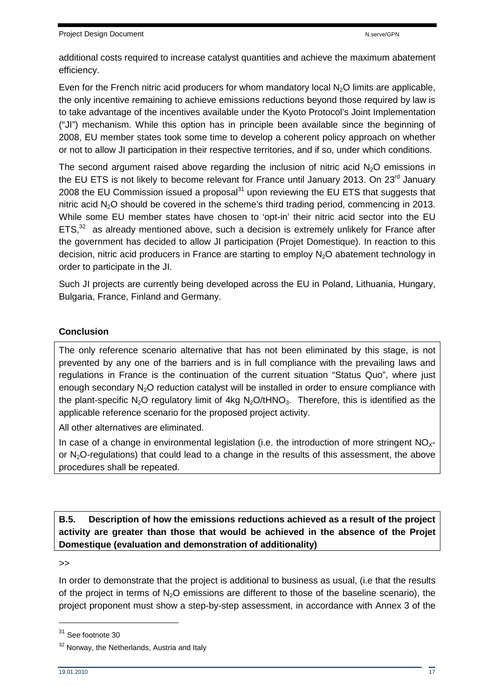additional costs required to increase catalyst quantities and achieve the maximum abatement efficiency.

Even for the French nitric acid producers for whom mandatory local  $N_2O$  limits are applicable, the only incentive remaining to achieve emissions reductions beyond those required by law is to take advantage of the incentives available under the Kyoto Protocol's Joint Implementation ("JI") mechanism. While this option has in principle been available since the beginning of 2008, EU member states took some time to develop a coherent policy approach on whether or not to allow JI participation in their respective territories, and if so, under which conditions.

The second argument raised above regarding the inclusion of nitric acid N<sub>2</sub>O emissions in the EU ETS is not likely to become relevant for France until January 2013. On 23<sup>rd</sup> January 2008 the EU Commission issued a proposal $31$  upon reviewing the EU ETS that suggests that nitric acid  $N<sub>2</sub>O$  should be covered in the scheme's third trading period, commencing in 2013. While some EU member states have chosen to 'opt-in' their nitric acid sector into the EU  $ETS<sub>1</sub><sup>32</sup>$  as already mentioned above, such a decision is extremely unlikely for France after the government has decided to allow JI participation (Projet Domestique). In reaction to this decision, nitric acid producers in France are starting to employ  $N<sub>2</sub>O$  abatement technology in order to participate in the JI.

Such JI projects are currently being developed across the EU in Poland, Lithuania, Hungary, Bulgaria, France, Finland and Germany.

## **Conclusion**

The only reference scenario alternative that has not been eliminated by this stage, is not prevented by any one of the barriers and is in full compliance with the prevailing laws and regulations in France is the continuation of the current situation "Status Quo", where just enough secondary  $N<sub>2</sub>O$  reduction catalyst will be installed in order to ensure compliance with the plant-specific N<sub>2</sub>O regulatory limit of 4kg N<sub>2</sub>O/tHNO<sub>3</sub>. Therefore, this is identified as the applicable reference scenario for the proposed project activity.

All other alternatives are eliminated.

In case of a change in environmental legislation (i.e. the introduction of more stringent  $NO<sub>x</sub>$ or  $N_2O$ -regulations) that could lead to a change in the results of this assessment, the above procedures shall be repeated.

## **B.5. Description of how the emissions reductions achieved as a result of the project activity are greater than those that would be achieved in the absence of the Projet Domestique (evaluation and demonstration of additionality)**

>>

In order to demonstrate that the project is additional to business as usual, (i.e that the results of the project in terms of  $N<sub>2</sub>O$  emissions are different to those of the baseline scenario), the project proponent must show a step-by-step assessment, in accordance with Annex 3 of the

 $31$  See footnote 30

<sup>&</sup>lt;sup>32</sup> Norway, the Netherlands, Austria and Italy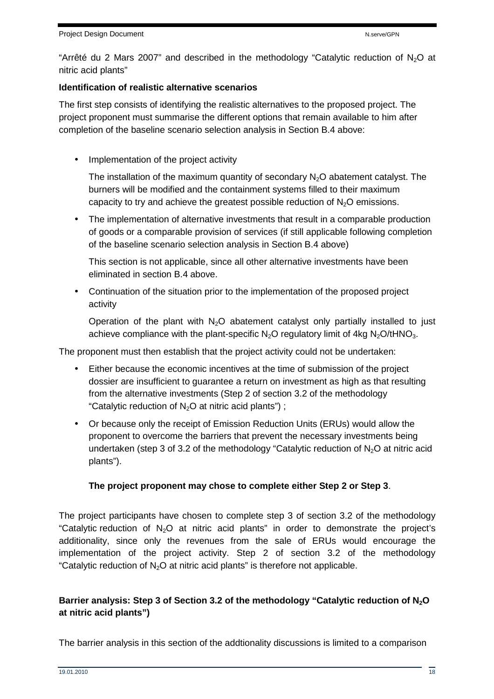"Arrêté du 2 Mars 2007" and described in the methodology "Catalytic reduction of  $N_2O$  at nitric acid plants"

### **Identification of realistic alternative scenarios**

The first step consists of identifying the realistic alternatives to the proposed project. The project proponent must summarise the different options that remain available to him after completion of the baseline scenario selection analysis in Section B.4 above:

• Implementation of the project activity

The installation of the maximum quantity of secondary  $N<sub>2</sub>O$  abatement catalyst. The burners will be modified and the containment systems filled to their maximum capacity to try and achieve the greatest possible reduction of  $N<sub>2</sub>O$  emissions.

• The implementation of alternative investments that result in a comparable production of goods or a comparable provision of services (if still applicable following completion of the baseline scenario selection analysis in Section B.4 above)

This section is not applicable, since all other alternative investments have been eliminated in section B.4 above.

• Continuation of the situation prior to the implementation of the proposed project activity

Operation of the plant with  $N_2O$  abatement catalyst only partially installed to just achieve compliance with the plant-specific  $N_2O$  regulatory limit of 4kg  $N_2O/tHNO_3$ .

The proponent must then establish that the project activity could not be undertaken:

- Either because the economic incentives at the time of submission of the project dossier are insufficient to guarantee a return on investment as high as that resulting from the alternative investments (Step 2 of section 3.2 of the methodology "Catalytic reduction of  $N_2O$  at nitric acid plants");
- Or because only the receipt of Emission Reduction Units (ERUs) would allow the proponent to overcome the barriers that prevent the necessary investments being undertaken (step 3 of 3.2 of the methodology "Catalytic reduction of  $N_2O$  at nitric acid plants").

## **The project proponent may chose to complete either Step 2 or Step 3**.

The project participants have chosen to complete step 3 of section 3.2 of the methodology "Catalytic reduction of  $N_2O$  at nitric acid plants" in order to demonstrate the project's additionality, since only the revenues from the sale of ERUs would encourage the implementation of the project activity. Step 2 of section 3.2 of the methodology "Catalytic reduction of  $N_2O$  at nitric acid plants" is therefore not applicable.

## **Barrier analysis: Step 3 of Section 3.2 of the methodology "Catalytic reduction of N2O at nitric acid plants")**

The barrier analysis in this section of the addtionality discussions is limited to a comparison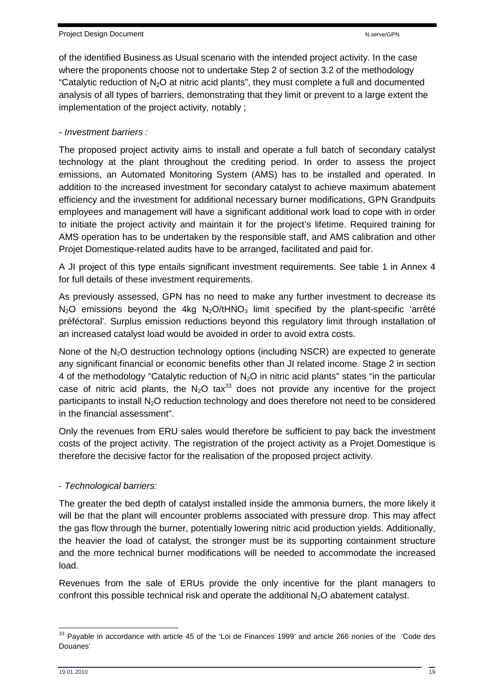of the identified Business as Usual scenario with the intended project activity. In the case where the proponents choose not to undertake Step 2 of section 3.2 of the methodology "Catalytic reduction of  $N_2O$  at nitric acid plants", they must complete a full and documented analysis of all types of barriers, demonstrating that they limit or prevent to a large extent the implementation of the project activity, notably ;

## - Investment barriers :

The proposed project activity aims to install and operate a full batch of secondary catalyst technology at the plant throughout the crediting period. In order to assess the project emissions, an Automated Monitoring System (AMS) has to be installed and operated. In addition to the increased investment for secondary catalyst to achieve maximum abatement efficiency and the investment for additional necessary burner modifications, GPN Grandpuits employees and management will have a significant additional work load to cope with in order to initiate the project activity and maintain it for the project's lifetime. Required training for AMS operation has to be undertaken by the responsible staff, and AMS calibration and other Projet Domestique-related audits have to be arranged, facilitated and paid for.

A JI project of this type entails significant investment requirements. See table 1 in Annex 4 for full details of these investment requirements.

As previously assessed, GPN has no need to make any further investment to decrease its  $N<sub>2</sub>O$  emissions beyond the 4kg  $N<sub>2</sub>O/tHNO<sub>3</sub>$  limit specified by the plant-specific 'arrêté préféctoral'. Surplus emission reductions beyond this regulatory limit through installation of an increased catalyst load would be avoided in order to avoid extra costs.

None of the  $N<sub>2</sub>O$  destruction technology options (including NSCR) are expected to generate any significant financial or economic benefits other than JI related income. Stage 2 in section 4 of the methodology "Catalytic reduction of  $N_2O$  in nitric acid plants" states "in the particular case of nitric acid plants, the  $N_2O$  tax<sup>33</sup> does not provide any incentive for the project participants to install  $N_2O$  reduction technology and does therefore not need to be considered in the financial assessment".

Only the revenues from ERU sales would therefore be sufficient to pay back the investment costs of the project activity. The registration of the project activity as a Projet Domestique is therefore the decisive factor for the realisation of the proposed project activity.

## - Technological barriers:

The greater the bed depth of catalyst installed inside the ammonia burners, the more likely it will be that the plant will encounter problems associated with pressure drop. This may affect the gas flow through the burner, potentially lowering nitric acid production yields. Additionally, the heavier the load of catalyst, the stronger must be its supporting containment structure and the more technical burner modifications will be needed to accommodate the increased load.

Revenues from the sale of ERUs provide the only incentive for the plant managers to confront this possible technical risk and operate the additional  $N<sub>2</sub>O$  abatement catalyst.

  $33$  Payable in accordance with article 45 of the 'Loi de Finances 1999' and article 266 nonies of the 'Code des Douanes'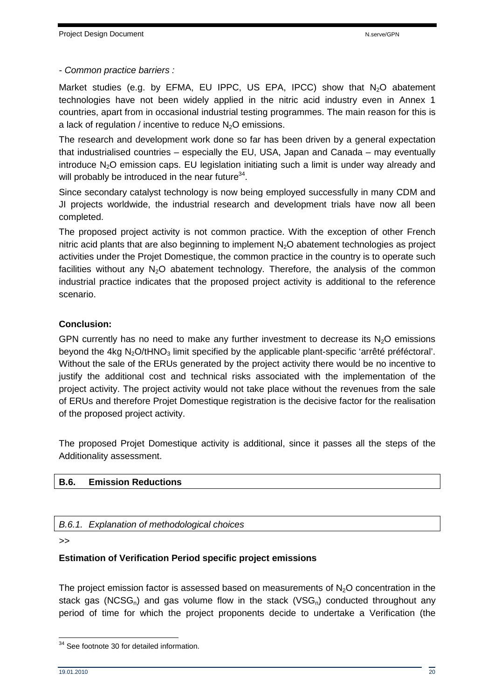- Common practice barriers :

Market studies (e.g. by EFMA, EU IPPC, US EPA, IPCC) show that  $N<sub>2</sub>O$  abatement technologies have not been widely applied in the nitric acid industry even in Annex 1 countries, apart from in occasional industrial testing programmes. The main reason for this is a lack of regulation / incentive to reduce  $N_2O$  emissions.

The research and development work done so far has been driven by a general expectation that industrialised countries – especially the EU, USA, Japan and Canada – may eventually introduce  $N_2O$  emission caps. EU legislation initiating such a limit is under way already and will probably be introduced in the near future $^{34}$ .

Since secondary catalyst technology is now being employed successfully in many CDM and JI projects worldwide, the industrial research and development trials have now all been completed.

The proposed project activity is not common practice. With the exception of other French nitric acid plants that are also beginning to implement  $N<sub>2</sub>O$  abatement technologies as project activities under the Projet Domestique, the common practice in the country is to operate such facilities without any  $N_2O$  abatement technology. Therefore, the analysis of the common industrial practice indicates that the proposed project activity is additional to the reference scenario.

## **Conclusion:**

GPN currently has no need to make any further investment to decrease its  $N_2O$  emissions beyond the 4kg N<sub>2</sub>O/tHNO<sub>3</sub> limit specified by the applicable plant-specific 'arrêté préféctoral'. Without the sale of the ERUs generated by the project activity there would be no incentive to justify the additional cost and technical risks associated with the implementation of the project activity. The project activity would not take place without the revenues from the sale of ERUs and therefore Projet Domestique registration is the decisive factor for the realisation of the proposed project activity.

The proposed Projet Domestique activity is additional, since it passes all the steps of the Additionality assessment.

## **B.6. Emission Reductions**

B.6.1. Explanation of methodological choices

>>

## **Estimation of Verification Period specific project emissions**

The project emission factor is assessed based on measurements of  $N<sub>2</sub>O$  concentration in the stack gas (NCSG<sub>n</sub>) and gas volume flow in the stack (VSG<sub>n</sub>) conducted throughout any period of time for which the project proponents decide to undertake a Verification (the

 $\overline{a}$ <sup>34</sup> See footnote 30 for detailed information.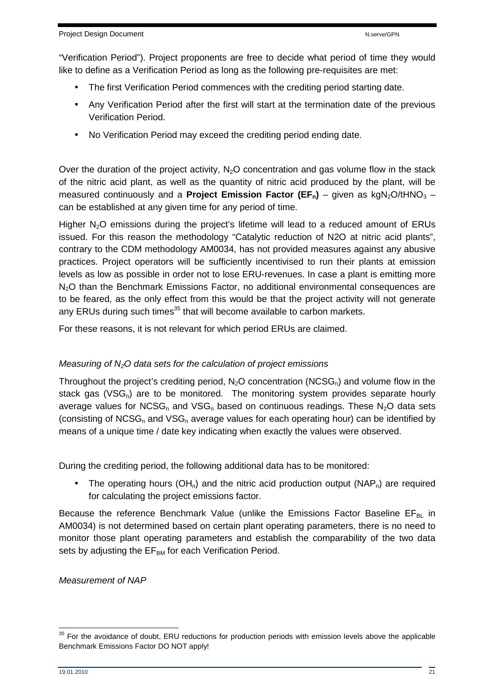"Verification Period"). Project proponents are free to decide what period of time they would like to define as a Verification Period as long as the following pre-requisites are met:

- The first Verification Period commences with the crediting period starting date.
- Any Verification Period after the first will start at the termination date of the previous Verification Period.
- No Verification Period may exceed the crediting period ending date.

Over the duration of the project activity,  $N<sub>2</sub>O$  concentration and gas volume flow in the stack of the nitric acid plant, as well as the quantity of nitric acid produced by the plant, will be measured continuously and a **Project Emission Factor (EF<sub>n</sub>)** – given as  $kgN<sub>2</sub>O/tHNO<sub>3</sub>$  – can be established at any given time for any period of time.

Higher  $N<sub>2</sub>O$  emissions during the project's lifetime will lead to a reduced amount of ERUs issued. For this reason the methodology "Catalytic reduction of N2O at nitric acid plants", contrary to the CDM methodology AM0034, has not provided measures against any abusive practices. Project operators will be sufficiently incentivised to run their plants at emission levels as low as possible in order not to lose ERU-revenues. In case a plant is emitting more N<sub>2</sub>O than the Benchmark Emissions Factor, no additional environmental consequences are to be feared, as the only effect from this would be that the project activity will not generate any ERUs during such times<sup>35</sup> that will become available to carbon markets.

For these reasons, it is not relevant for which period ERUs are claimed.

## Measuring of  $N<sub>2</sub>O$  data sets for the calculation of project emissions

Throughout the project's crediting period,  $N_2O$  concentration (NCSG<sub>n</sub>) and volume flow in the stack gas ( $VSG<sub>n</sub>$ ) are to be monitored. The monitoring system provides separate hourly average values for NCSG<sub>n</sub> and VSG<sub>n</sub> based on continuous readings. These N<sub>2</sub>O data sets (consisting of NCSG<sub>n</sub> and VSG<sub>n</sub> average values for each operating hour) can be identified by means of a unique time / date key indicating when exactly the values were observed.

During the crediting period, the following additional data has to be monitored:

• The operating hours (OH<sub>n</sub>) and the nitric acid production output (NAP<sub>n</sub>) are required for calculating the project emissions factor.

Because the reference Benchmark Value (unlike the Emissions Factor Baseline  $EF_{B}$  in AM0034) is not determined based on certain plant operating parameters, there is no need to monitor those plant operating parameters and establish the comparability of the two data sets by adjusting the EF<sub>BM</sub> for each Verification Period.

Measurement of NAP

 $35$  For the avoidance of doubt, ERU reductions for production periods with emission levels above the applicable Benchmark Emissions Factor DO NOT apply!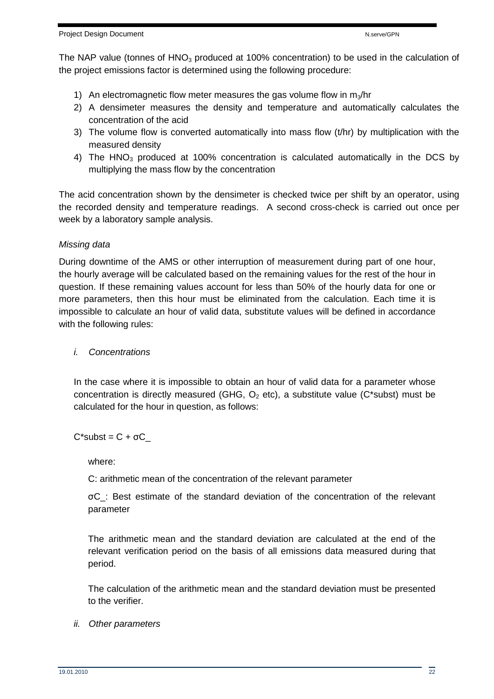The NAP value (tonnes of  $HNO<sub>3</sub>$  produced at 100% concentration) to be used in the calculation of the project emissions factor is determined using the following procedure:

- 1) An electromagnetic flow meter measures the gas volume flow in  $m_3/nr$
- 2) A densimeter measures the density and temperature and automatically calculates the concentration of the acid
- 3) The volume flow is converted automatically into mass flow (t/hr) by multiplication with the measured density
- 4) The HNO<sub>3</sub> produced at 100% concentration is calculated automatically in the DCS by multiplying the mass flow by the concentration

The acid concentration shown by the densimeter is checked twice per shift by an operator, using the recorded density and temperature readings. A second cross-check is carried out once per week by a laboratory sample analysis.

## Missing data

During downtime of the AMS or other interruption of measurement during part of one hour, the hourly average will be calculated based on the remaining values for the rest of the hour in question. If these remaining values account for less than 50% of the hourly data for one or more parameters, then this hour must be eliminated from the calculation. Each time it is impossible to calculate an hour of valid data, substitute values will be defined in accordance with the following rules:

### i. Concentrations

In the case where it is impossible to obtain an hour of valid data for a parameter whose concentration is directly measured (GHG,  $O_2$  etc), a substitute value (C\*subst) must be calculated for the hour in question, as follows:

 $C^*$ subst =  $C + \sigma C$ 

where:

C: arithmetic mean of the concentration of the relevant parameter

σC\_: Best estimate of the standard deviation of the concentration of the relevant parameter

The arithmetic mean and the standard deviation are calculated at the end of the relevant verification period on the basis of all emissions data measured during that period.

The calculation of the arithmetic mean and the standard deviation must be presented to the verifier.

#### ii. Other parameters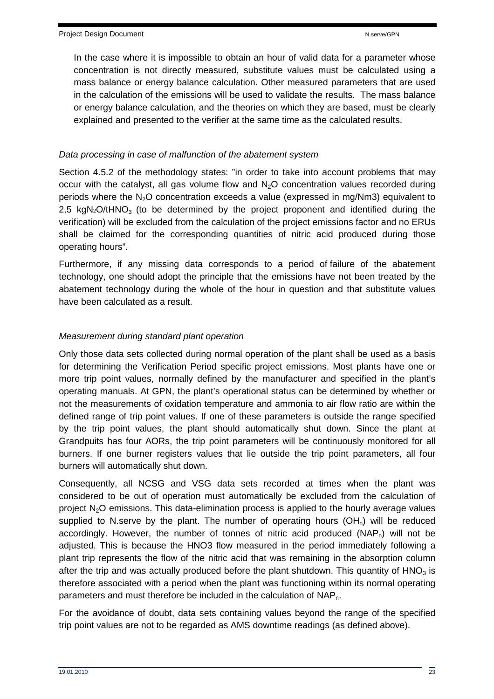In the case where it is impossible to obtain an hour of valid data for a parameter whose concentration is not directly measured, substitute values must be calculated using a mass balance or energy balance calculation. Other measured parameters that are used in the calculation of the emissions will be used to validate the results. The mass balance or energy balance calculation, and the theories on which they are based, must be clearly explained and presented to the verifier at the same time as the calculated results.

## Data processing in case of malfunction of the abatement system

Section 4.5.2 of the methodology states: "in order to take into account problems that may occur with the catalyst, all gas volume flow and  $N<sub>2</sub>O$  concentration values recorded during periods where the  $N<sub>2</sub>O$  concentration exceeds a value (expressed in mg/Nm3) equivalent to 2,5 kgN $2$ O/tHNO<sub>3</sub> (to be determined by the project proponent and identified during the verification) will be excluded from the calculation of the project emissions factor and no ERUs shall be claimed for the corresponding quantities of nitric acid produced during those operating hours".

Furthermore, if any missing data corresponds to a period of failure of the abatement technology, one should adopt the principle that the emissions have not been treated by the abatement technology during the whole of the hour in question and that substitute values have been calculated as a result.

## Measurement during standard plant operation

Only those data sets collected during normal operation of the plant shall be used as a basis for determining the Verification Period specific project emissions. Most plants have one or more trip point values, normally defined by the manufacturer and specified in the plant's operating manuals. At GPN, the plant's operational status can be determined by whether or not the measurements of oxidation temperature and ammonia to air flow ratio are within the defined range of trip point values. If one of these parameters is outside the range specified by the trip point values, the plant should automatically shut down. Since the plant at Grandpuits has four AORs, the trip point parameters will be continuously monitored for all burners. If one burner registers values that lie outside the trip point parameters, all four burners will automatically shut down.

Consequently, all NCSG and VSG data sets recorded at times when the plant was considered to be out of operation must automatically be excluded from the calculation of project  $N_2O$  emissions. This data-elimination process is applied to the hourly average values supplied to N.serve by the plant. The number of operating hours  $(OH_n)$  will be reduced accordingly. However, the number of tonnes of nitric acid produced  $(NAP_n)$  will not be adjusted. This is because the HNO3 flow measured in the period immediately following a plant trip represents the flow of the nitric acid that was remaining in the absorption column after the trip and was actually produced before the plant shutdown. This quantity of  $HNO<sub>3</sub>$  is therefore associated with a period when the plant was functioning within its normal operating parameters and must therefore be included in the calculation of NAP<sub>n</sub>.

For the avoidance of doubt, data sets containing values beyond the range of the specified trip point values are not to be regarded as AMS downtime readings (as defined above).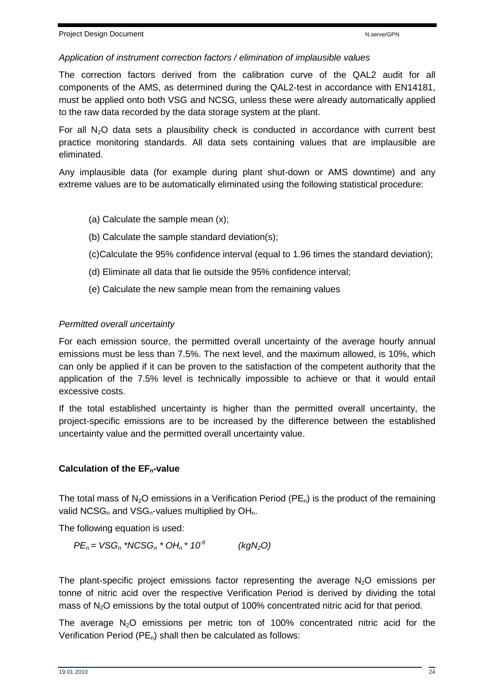#### Application of instrument correction factors / elimination of implausible values

The correction factors derived from the calibration curve of the QAL2 audit for all components of the AMS, as determined during the QAL2-test in accordance with EN14181, must be applied onto both VSG and NCSG, unless these were already automatically applied to the raw data recorded by the data storage system at the plant.

For all  $N_2O$  data sets a plausibility check is conducted in accordance with current best practice monitoring standards. All data sets containing values that are implausible are eliminated.

Any implausible data (for example during plant shut-down or AMS downtime) and any extreme values are to be automatically eliminated using the following statistical procedure:

- (a) Calculate the sample mean (x);
- (b) Calculate the sample standard deviation(s);
- (c)Calculate the 95% confidence interval (equal to 1.96 times the standard deviation);
- (d) Eliminate all data that lie outside the 95% confidence interval;
- (e) Calculate the new sample mean from the remaining values

### Permitted overall uncertainty

For each emission source, the permitted overall uncertainty of the average hourly annual emissions must be less than 7.5%. The next level, and the maximum allowed, is 10%, which can only be applied if it can be proven to the satisfaction of the competent authority that the application of the 7.5% level is technically impossible to achieve or that it would entail excessive costs.

If the total established uncertainty is higher than the permitted overall uncertainty, the project-specific emissions are to be increased by the difference between the established uncertainty value and the permitted overall uncertainty value.

## **Calculation of the EFn-value**

The total mass of N<sub>2</sub>O emissions in a Verification Period (PE<sub>n</sub>) is the product of the remaining valid NCSG<sub>n</sub> and VSG<sub>n</sub>-values multiplied by  $OH<sub>n</sub>$ .

The following equation is used:

$$
PEn = VSGn * NCSGn * OHn * 106 (kgN2O)
$$

The plant-specific project emissions factor representing the average  $N_2O$  emissions per tonne of nitric acid over the respective Verification Period is derived by dividing the total mass of  $N<sub>2</sub>O$  emissions by the total output of 100% concentrated nitric acid for that period.

The average  $N<sub>2</sub>O$  emissions per metric ton of 100% concentrated nitric acid for the Verification Period ( $PE_n$ ) shall then be calculated as follows: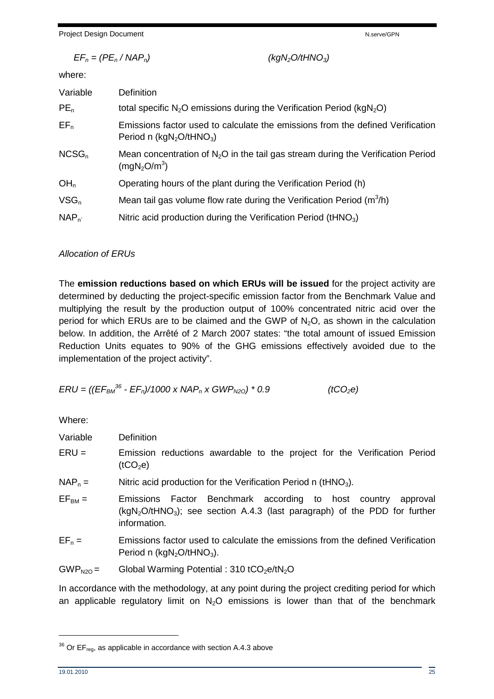Project Design Document National According to the New York National According National According National According National According National According National According National According National According National Ac

|                 | $EF_n = (PE_n / NAP_n)$ |                                                                             | (kgN <sub>2</sub> O/tHNO <sub>3</sub> )                                           |
|-----------------|-------------------------|-----------------------------------------------------------------------------|-----------------------------------------------------------------------------------|
|                 | where:                  |                                                                             |                                                                                   |
|                 | Variable                | <b>Definition</b>                                                           |                                                                                   |
| $PE_n$          |                         | total specific $N_2O$ emissions during the Verification Period ( $kgN_2O$ ) |                                                                                   |
| $EF_n$          |                         | Period n $(kgN_2O/tHNO_3)$                                                  | Emissions factor used to calculate the emissions from the defined Verification    |
|                 | $NCSG_n$                | (mqN <sub>2</sub> O/m <sup>3</sup> )                                        | Mean concentration of $N2O$ in the tail gas stream during the Verification Period |
| OH <sub>n</sub> |                         | Operating hours of the plant during the Verification Period (h)             |                                                                                   |
| $VSG_n$         |                         | Mean tail gas volume flow rate during the Verification Period $(m^3/h)$     |                                                                                   |
|                 | $NAP_n$                 | Nitric acid production during the Verification Period (tHNO <sub>3</sub> )  |                                                                                   |

### Allocation of ERUs

The **emission reductions based on which ERUs will be issued** for the project activity are determined by deducting the project-specific emission factor from the Benchmark Value and multiplying the result by the production output of 100% concentrated nitric acid over the period for which ERUs are to be claimed and the GWP of  $N_2O$ , as shown in the calculation below. In addition, the Arrêté of 2 March 2007 states: "the total amount of issued Emission Reduction Units equates to 90% of the GHG emissions effectively avoided due to the implementation of the project activity".

$$
ERU = ((EFBM36 - EFn)/1000 \times NAPn \times GWPN20) * 0.9
$$
 (tCO<sub>2</sub>e)

Where:

| Variable    | <b>Definition</b>                                                                                                                                                                                                                                                                                                                   |
|-------------|-------------------------------------------------------------------------------------------------------------------------------------------------------------------------------------------------------------------------------------------------------------------------------------------------------------------------------------|
| $ERU =$     | Emission reductions awardable to the project for the Verification Period<br>(tCO <sub>2</sub> e)                                                                                                                                                                                                                                    |
| $NAP_n =$   | Nitric acid production for the Verification Period n (tHNO <sub>3</sub> ).                                                                                                                                                                                                                                                          |
| $EF_{BM} =$ | Emissions Factor Benchmark according to host country<br>approval<br>$(kgN2O/tHNO3)$ ; see section A.4.3 (last paragraph) of the PDD for further<br>information.                                                                                                                                                                     |
| $EF_n =$    | Emissions factor used to calculate the emissions from the defined Verification<br>Period n ( $kgN2O/tHNO3$ ).                                                                                                                                                                                                                       |
| $GWPN2O =$  | Global Warming Potential: $310 tCO2e/tN2O$                                                                                                                                                                                                                                                                                          |
|             | In accordance with the methodology, at any point during the project crediting period for which<br>$\mathbb{P}$ . The state of the state of the state of the state of the state of the state of the state of the state of the state of the state of the state of the state of the state of the state of the state of the state of th |

an applicable regulatory limit on  $N_2O$  emissions is lower than that of the benchmark

 $36$  Or EF<sub>reg</sub>, as applicable in accordance with section A.4.3 above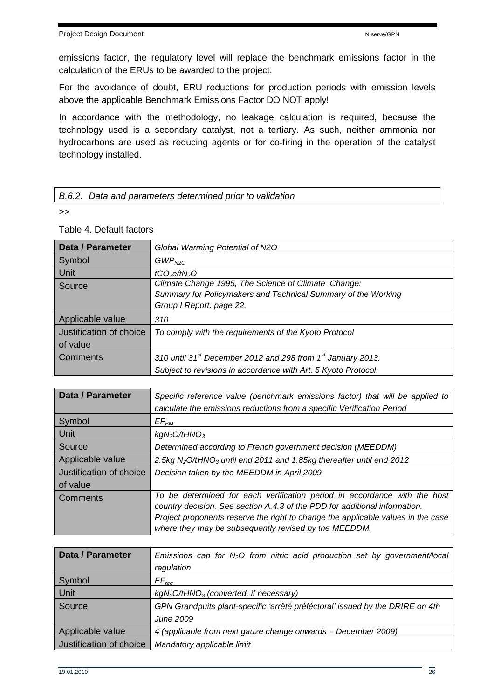emissions factor, the regulatory level will replace the benchmark emissions factor in the calculation of the ERUs to be awarded to the project.

For the avoidance of doubt, ERU reductions for production periods with emission levels above the applicable Benchmark Emissions Factor DO NOT apply!

In accordance with the methodology, no leakage calculation is required, because the technology used is a secondary catalyst, not a tertiary. As such, neither ammonia nor hydrocarbons are used as reducing agents or for co-firing in the operation of the catalyst technology installed.

#### B.6.2. Data and parameters determined prior to validation

>>

### Table 4. Default factors

| <b>Data / Parameter</b> | Global Warming Potential of N2O                                                     |
|-------------------------|-------------------------------------------------------------------------------------|
| Symbol                  | GWP <sub>N2O</sub>                                                                  |
| Unit                    | tCO <sub>2</sub> e/tN <sub>2</sub> O                                                |
| Source                  | Climate Change 1995, The Science of Climate Change:                                 |
|                         | Summary for Policymakers and Technical Summary of the Working                       |
|                         | Group I Report, page 22.                                                            |
| Applicable value        | 310                                                                                 |
| Justification of choice | To comply with the requirements of the Kyoto Protocol                               |
| of value                |                                                                                     |
| Comments                | 310 until 31 <sup>st</sup> December 2012 and 298 from 1 <sup>st</sup> January 2013. |
|                         | Subject to revisions in accordance with Art. 5 Kyoto Protocol.                      |

| <b>Data / Parameter</b>             | Specific reference value (benchmark emissions factor) that will be applied to<br>calculate the emissions reductions from a specific Verification Period                                                                                                                                              |
|-------------------------------------|------------------------------------------------------------------------------------------------------------------------------------------------------------------------------------------------------------------------------------------------------------------------------------------------------|
| Symbol                              | $EF_{BM}$                                                                                                                                                                                                                                                                                            |
| <b>Unit</b>                         | kgN <sub>2</sub> O/HNO <sub>3</sub>                                                                                                                                                                                                                                                                  |
| Source                              | Determined according to French government decision (MEEDDM)                                                                                                                                                                                                                                          |
| Applicable value                    | 2.5kg $N_2O/tHNO_3$ until end 2011 and 1.85kg thereafter until end 2012                                                                                                                                                                                                                              |
| Justification of choice<br>of value | Decision taken by the MEEDDM in April 2009                                                                                                                                                                                                                                                           |
| Comments                            | To be determined for each verification period in accordance with the host<br>country decision. See section A.4.3 of the PDD for additional information.<br>Project proponents reserve the right to change the applicable values in the case<br>where they may be subsequently revised by the MEEDDM. |

| Data / Parameter        | Emissions cap for $N_2O$ from nitric acid production set by government/local  |
|-------------------------|-------------------------------------------------------------------------------|
|                         | regulation                                                                    |
| Symbol                  | $EF_{req}$                                                                    |
| Unit                    | $kgN2O/tHNO3$ (converted, if necessary)                                       |
| Source                  | GPN Grandpuits plant-specific 'arrêté préféctoral' issued by the DRIRE on 4th |
|                         | June 2009                                                                     |
| Applicable value        | 4 (applicable from next gauze change onwards - December 2009)                 |
| Justification of choice | Mandatory applicable limit                                                    |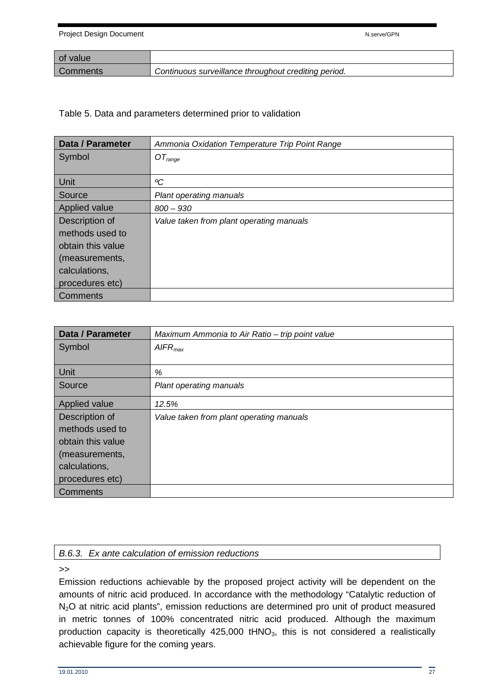| of value |                                                      |
|----------|------------------------------------------------------|
| Comments | Continuous surveillance throughout crediting period. |

Table 5. Data and parameters determined prior to validation

| Data / Parameter  | Ammonia Oxidation Temperature Trip Point Range |
|-------------------|------------------------------------------------|
| Symbol            | $OT_{range}$                                   |
|                   |                                                |
| Unit              | °C                                             |
| Source            | <b>Plant operating manuals</b>                 |
| Applied value     | $800 - 930$                                    |
| Description of    | Value taken from plant operating manuals       |
| methods used to   |                                                |
| obtain this value |                                                |
| (measurements,    |                                                |
| calculations,     |                                                |
| procedures etc)   |                                                |
| Comments          |                                                |

| Data / Parameter     | Maximum Ammonia to Air Ratio – trip point value |  |
|----------------------|-------------------------------------------------|--|
| Symbol               | AIFR <sub>max</sub>                             |  |
|                      |                                                 |  |
| Unit                 | %                                               |  |
| Source               | <b>Plant operating manuals</b>                  |  |
| <b>Applied value</b> | 12.5%                                           |  |
| Description of       | Value taken from plant operating manuals        |  |
| methods used to      |                                                 |  |
| obtain this value    |                                                 |  |
| (measurements,       |                                                 |  |
| calculations,        |                                                 |  |
| procedures etc)      |                                                 |  |
| Comments             |                                                 |  |

#### B.6.3. Ex ante calculation of emission reductions

>>

Emission reductions achievable by the proposed project activity will be dependent on the amounts of nitric acid produced. In accordance with the methodology "Catalytic reduction of N<sub>2</sub>O at nitric acid plants", emission reductions are determined pro unit of product measured in metric tonnes of 100% concentrated nitric acid produced. Although the maximum production capacity is theoretically  $425,000$  tHNO<sub>3</sub>, this is not considered a realistically achievable figure for the coming years.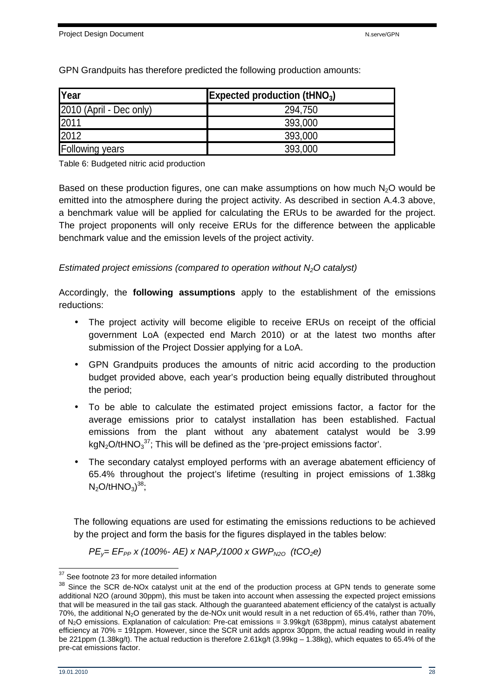| Year                    | <b>Expected production (tHNO<sub>3</sub>)</b> |  |
|-------------------------|-----------------------------------------------|--|
| 2010 (April - Dec only) | 294,750                                       |  |
| 2011                    | 393,000                                       |  |
| 2012                    | 393,000                                       |  |
| <b>Following years</b>  | 393,000                                       |  |

GPN Grandpuits has therefore predicted the following production amounts:

Table 6: Budgeted nitric acid production

Based on these production figures, one can make assumptions on how much  $N<sub>2</sub>O$  would be emitted into the atmosphere during the project activity. As described in section A.4.3 above, a benchmark value will be applied for calculating the ERUs to be awarded for the project. The project proponents will only receive ERUs for the difference between the applicable benchmark value and the emission levels of the project activity.

#### Estimated project emissions (compared to operation without  $N<sub>2</sub>O$  catalyst)

Accordingly, the **following assumptions** apply to the establishment of the emissions reductions:

- The project activity will become eligible to receive ERUs on receipt of the official government LoA (expected end March 2010) or at the latest two months after submission of the Project Dossier applying for a LoA.
- GPN Grandpuits produces the amounts of nitric acid according to the production budget provided above, each year's production being equally distributed throughout the period;
- To be able to calculate the estimated project emissions factor, a factor for the average emissions prior to catalyst installation has been established. Factual emissions from the plant without any abatement catalyst would be 3.99 kgN<sub>2</sub>O/tHNO<sub>3</sub><sup>37</sup>; This will be defined as the 'pre-project emissions factor'.
- The secondary catalyst employed performs with an average abatement efficiency of 65.4% throughout the project's lifetime (resulting in project emissions of 1.38kg  $N_2$ O/tHNO $_3$ )<sup>38</sup>;

The following equations are used for estimating the emissions reductions to be achieved by the project and form the basis for the figures displayed in the tables below:

 $PE<sub>y</sub>= EF<sub>PP</sub> x (100% - AE) x NAP<sub>y</sub>/1000 x GWP<sub>N2O</sub> (tCO<sub>2</sub>e)$ 

 $\overline{a}$ <sup>37</sup> See footnote 23 for more detailed information

<sup>&</sup>lt;sup>38</sup> Since the SCR de-NOx catalyst unit at the end of the production process at GPN tends to generate some additional N2O (around 30ppm), this must be taken into account when assessing the expected project emissions that will be measured in the tail gas stack. Although the guaranteed abatement efficiency of the catalyst is actually 70%, the additional N<sub>2</sub>O generated by the de-NO<sub>x</sub> unit would result in a net reduction of 65.4%, rather than 70%, of N2O emissions. Explanation of calculation: Pre-cat emissions = 3.99kg/t (638ppm), minus catalyst abatement efficiency at 70% = 191ppm. However, since the SCR unit adds approx 30ppm, the actual reading would in reality be 221ppm (1.38kg/t). The actual reduction is therefore 2.61kg/t (3.99kg – 1.38kg), which equates to 65.4% of the pre-cat emissions factor.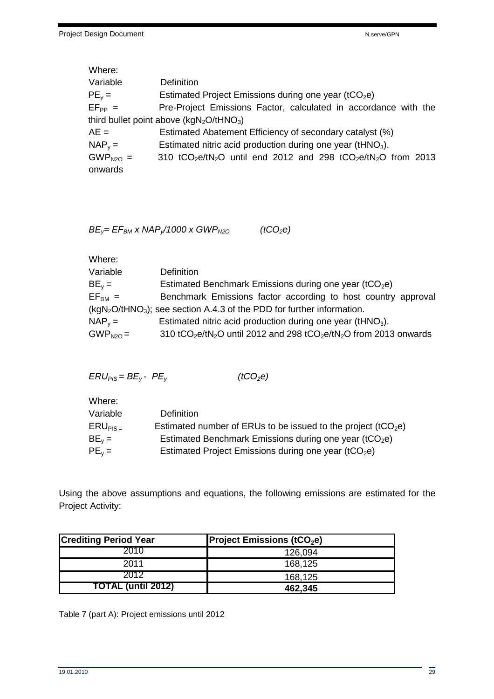| Where:      |                                                                                                                |
|-------------|----------------------------------------------------------------------------------------------------------------|
| Variable    | Definition                                                                                                     |
| $PE_v =$    | Estimated Project Emissions during one year ( $tCO2e$ )                                                        |
| $EF_{PP} =$ | Pre-Project Emissions Factor, calculated in accordance with the                                                |
|             | third bullet point above $(kgN_2O/tHNO_3)$                                                                     |
| $AE =$      | Estimated Abatement Efficiency of secondary catalyst (%)                                                       |
| $NAP_v =$   | Estimated nitric acid production during one year (tHNO <sub>3</sub> ).                                         |
| $GWPN2O =$  | 310 tCO <sub>2</sub> e/tN <sub>2</sub> O until end 2012 and 298 tCO <sub>2</sub> e/tN <sub>2</sub> O from 2013 |
| onwards     |                                                                                                                |

 $BE_y = EF_{BM} \times NAP_y/1000 \times GWP_{N20}$  (tCO<sub>2</sub>e)

| Where:                                                                  |                                                                                                                    |  |  |
|-------------------------------------------------------------------------|--------------------------------------------------------------------------------------------------------------------|--|--|
| Variable                                                                | <b>Definition</b>                                                                                                  |  |  |
| $BE_v =$                                                                | Estimated Benchmark Emissions during one year (tCO <sub>2</sub> e)                                                 |  |  |
| $EFBM =$                                                                | Benchmark Emissions factor according to host country approval                                                      |  |  |
| $(kgN2O/tHNO3)$ ; see section A.4.3 of the PDD for further information. |                                                                                                                    |  |  |
| $NAP_v =$                                                               | Estimated nitric acid production during one year (tHNO <sub>3</sub> ).                                             |  |  |
| $GWPN2O =$                                                              | 310 tCO <sub>2</sub> e/tN <sub>2</sub> O until 2012 and 298 tCO <sub>2</sub> e/tN <sub>2</sub> O from 2013 onwards |  |  |
|                                                                         |                                                                                                                    |  |  |

| $ERU_{PIS} = BE_{y} - PE_{y}$ | (tCO <sub>2</sub> e) |
|-------------------------------|----------------------|
|-------------------------------|----------------------|

| Where:        |                                                                           |
|---------------|---------------------------------------------------------------------------|
| Variable      | Definition                                                                |
| $ERU_{PIS}$ = | Estimated number of ERUs to be issued to the project (tCO <sub>2</sub> e) |
| $BE_v =$      | Estimated Benchmark Emissions during one year (tCO <sub>2</sub> e)        |
| $PE_v =$      | Estimated Project Emissions during one year ( $tCO2e$ )                   |
|               |                                                                           |

Using the above assumptions and equations, the following emissions are estimated for the Project Activity:

| <b>Crediting Period Year</b> | <b>Project Emissions (tCO<sub>2</sub>e)</b> |
|------------------------------|---------------------------------------------|
| 2010                         | 126,094                                     |
| 2011                         | 168,125                                     |
| 2012                         | 168,125                                     |
| <b>TOTAL (until 2012)</b>    | 462.345                                     |

Table 7 (part A): Project emissions until 2012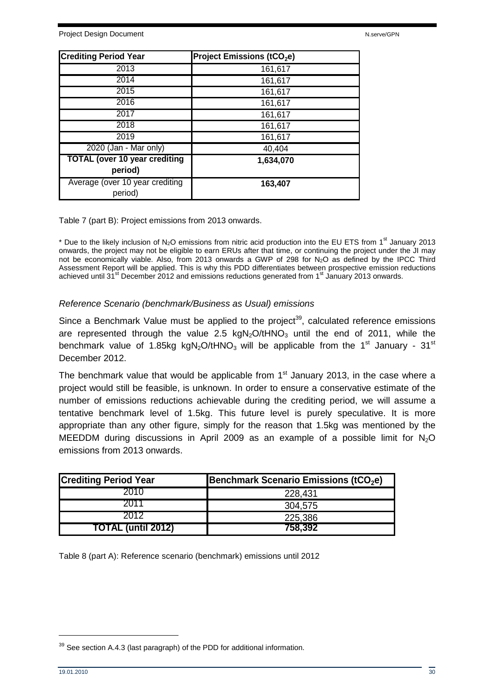| <b>Crediting Period Year</b>                    | Project Emissions (tCO <sub>2</sub> e) |
|-------------------------------------------------|----------------------------------------|
| 2013                                            | 161,617                                |
| 2014                                            | 161,617                                |
| 2015                                            | 161,617                                |
| 2016                                            | 161,617                                |
| 2017                                            | 161,617                                |
| 2018                                            | 161,617                                |
| 2019                                            | 161,617                                |
| 2020 (Jan - Mar only)                           | 40,404                                 |
| <b>TOTAL (over 10 year crediting</b><br>period) | 1,634,070                              |
| Average (over 10 year crediting<br>period)      | 163,407                                |

Table 7 (part B): Project emissions from 2013 onwards.

\* Due to the likely inclusion of  $N_2O$  emissions from nitric acid production into the EU ETS from 1<sup>st</sup> January 2013 onwards, the project may not be eligible to earn ERUs after that time, or continuing the project under the JI may not be economically viable. Also, from 2013 onwards a GWP of 298 for N2O as defined by the IPCC Third Assessment Report will be applied. This is why this PDD differentiates between prospective emission reductions achieved until 31<sup>st</sup> December 2012 and emissions reductions generated from 1<sup>st</sup> January 2013 onwards.

#### Reference Scenario (benchmark/Business as Usual) emissions

Since a Benchmark Value must be applied to the project<sup>39</sup>, calculated reference emissions are represented through the value 2.5 kgN<sub>2</sub>O/tHNO<sub>3</sub> until the end of 2011, while the benchmark value of 1.85kg kgN<sub>2</sub>O/tHNO<sub>3</sub> will be applicable from the 1<sup>st</sup> January - 31<sup>st</sup> December 2012.

The benchmark value that would be applicable from  $1<sup>st</sup>$  January 2013, in the case where a project would still be feasible, is unknown. In order to ensure a conservative estimate of the number of emissions reductions achievable during the crediting period, we will assume a tentative benchmark level of 1.5kg. This future level is purely speculative. It is more appropriate than any other figure, simply for the reason that 1.5kg was mentioned by the MEEDDM during discussions in April 2009 as an example of a possible limit for  $N_2O$ emissions from 2013 onwards.

| <b>Crediting Period Year</b> | <b>Benchmark Scenario Emissions (tCO<sub>2</sub>e)</b> |
|------------------------------|--------------------------------------------------------|
| 2010                         | 228,431                                                |
|                              | 304,575                                                |
| 2012                         | 225,386                                                |
| <b>TOTAL (until 2012)</b>    | 758,392                                                |

Table 8 (part A): Reference scenario (benchmark) emissions until 2012

<sup>&</sup>lt;sup>39</sup> See section A.4.3 (last paragraph) of the PDD for additional information.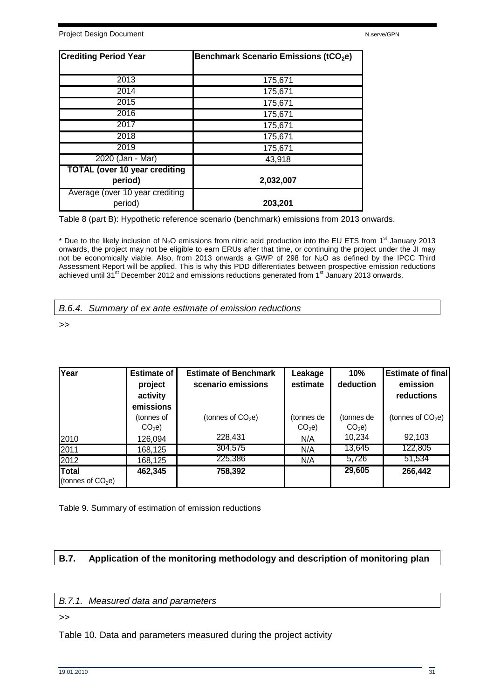| <b>Crediting Period Year</b>                    | <b>Benchmark Scenario Emissions (tCO<sub>2</sub>e)</b> |
|-------------------------------------------------|--------------------------------------------------------|
| 2013                                            | 175,671                                                |
| 2014                                            | 175,671                                                |
| 2015                                            | 175,671                                                |
| 2016                                            | 175,671                                                |
| 2017                                            | 175,671                                                |
| 2018                                            | 175,671                                                |
| 2019                                            | 175,671                                                |
| 2020 (Jan - Mar)                                | 43,918                                                 |
| <b>TOTAL (over 10 year crediting</b><br>period) | 2,032,007                                              |
| Average (over 10 year crediting<br>period)      | 203,201                                                |

Table 8 (part B): Hypothetic reference scenario (benchmark) emissions from 2013 onwards.

\* Due to the likely inclusion of N<sub>2</sub>O emissions from nitric acid production into the EU ETS from 1<sup>st</sup> January 2013 onwards, the project may not be eligible to earn ERUs after that time, or continuing the project under the JI may not be economically viable. Also, from 2013 onwards a GWP of 298 for N2O as defined by the IPCC Third Assessment Report will be applied. This is why this PDD differentiates between prospective emission reductions achieved until 31<sup>st</sup> December 2012 and emissions reductions generated from 1<sup>st</sup> January 2013 onwards.

B.6.4. Summary of ex ante estimate of emission reductions

>>

| Year                                | <b>Estimate of</b>              | <b>Estimate of Benchmark</b> | Leakage                         | 10%                             | <b>Estimate of final</b> |
|-------------------------------------|---------------------------------|------------------------------|---------------------------------|---------------------------------|--------------------------|
|                                     | project<br>activity             | scenario emissions           | estimate                        | deduction                       | emission<br>reductions   |
|                                     | emissions                       |                              |                                 |                                 |                          |
|                                     | (tonnes of<br>CO <sub>2</sub> e | (tonnes of $CO2e$ )          | (tonnes de<br>CO <sub>2</sub> e | (tonnes de<br>CO <sub>2</sub> e | (tonnes of $CO2e$ )      |
| 2010                                | 126,094                         | 228,431                      | N/A                             | 10,234                          | 92,103                   |
| 2011                                | 168,125                         | 304,575                      | N/A                             | 13,645                          | 122,805                  |
| 2012                                | 168,125                         | 225,386                      | N/A                             | 5,726                           | 51,534                   |
| <b>Total</b><br>(tonnes of $CO2e$ ) | 462,345                         | 758,392                      |                                 | 29,605                          | 266,442                  |

Table 9. Summary of estimation of emission reductions

## **B.7. Application of the monitoring methodology and description of monitoring plan**

#### B.7.1. Measured data and parameters

>>

Table 10. Data and parameters measured during the project activity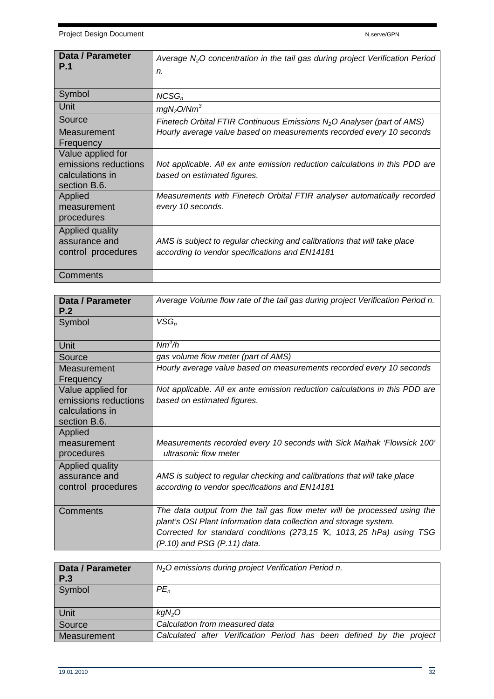| <b>Data / Parameter</b><br><b>P.1</b>                                        | Average $N_2O$ concentration in the tail gas during project Verification Period<br>n.                                      |
|------------------------------------------------------------------------------|----------------------------------------------------------------------------------------------------------------------------|
| Symbol                                                                       | $NCSG_n$                                                                                                                   |
| Unit                                                                         | mgN <sub>2</sub> O/Nm <sup>3</sup>                                                                                         |
| Source                                                                       | Finetech Orbital FTIR Continuous Emissions $N_2O$ Analyser (part of AMS)                                                   |
| Measurement<br>Frequency                                                     | Hourly average value based on measurements recorded every 10 seconds                                                       |
| Value applied for<br>emissions reductions<br>calculations in<br>section B.6. | Not applicable. All ex ante emission reduction calculations in this PDD are<br>based on estimated figures.                 |
| Applied<br>measurement<br>procedures                                         | Measurements with Finetech Orbital FTIR analyser automatically recorded<br>every 10 seconds.                               |
| Applied quality<br>assurance and<br>control procedures                       | AMS is subject to regular checking and calibrations that will take place<br>according to vendor specifications and EN14181 |
| Comments                                                                     |                                                                                                                            |

| Data / Parameter<br>P.2                                                      | Average Volume flow rate of the tail gas during project Verification Period n.                                                                                                                                                                       |
|------------------------------------------------------------------------------|------------------------------------------------------------------------------------------------------------------------------------------------------------------------------------------------------------------------------------------------------|
| Symbol                                                                       | $VSG_n$                                                                                                                                                                                                                                              |
| Unit                                                                         | $Nm^3/h$                                                                                                                                                                                                                                             |
| Source                                                                       | gas volume flow meter (part of AMS)                                                                                                                                                                                                                  |
| Measurement<br>Frequency                                                     | Hourly average value based on measurements recorded every 10 seconds                                                                                                                                                                                 |
| Value applied for<br>emissions reductions<br>calculations in<br>section B.6. | Not applicable. All ex ante emission reduction calculations in this PDD are<br>based on estimated figures.                                                                                                                                           |
| Applied<br>measurement<br>procedures                                         | Measurements recorded every 10 seconds with Sick Maihak 'Flowsick 100'<br>ultrasonic flow meter                                                                                                                                                      |
| Applied quality<br>assurance and<br>control procedures                       | AMS is subject to regular checking and calibrations that will take place<br>according to vendor specifications and EN14181                                                                                                                           |
| Comments                                                                     | The data output from the tail gas flow meter will be processed using the<br>plant's OSI Plant Information data collection and storage system.<br>Corrected for standard conditions (273,15 K, 1013, 25 hPa) using TSG<br>(P.10) and PSG (P.11) data. |

| Data / Parameter<br>P.3 | N <sub>2</sub> O emissions during project Verification Period n.     |
|-------------------------|----------------------------------------------------------------------|
| Symbol                  | $PE_n$                                                               |
| Unit                    | kgN <sub>2</sub> O                                                   |
| Source                  | Calculation from measured data                                       |
| Measurement             | Calculated after Verification Period has been defined by the project |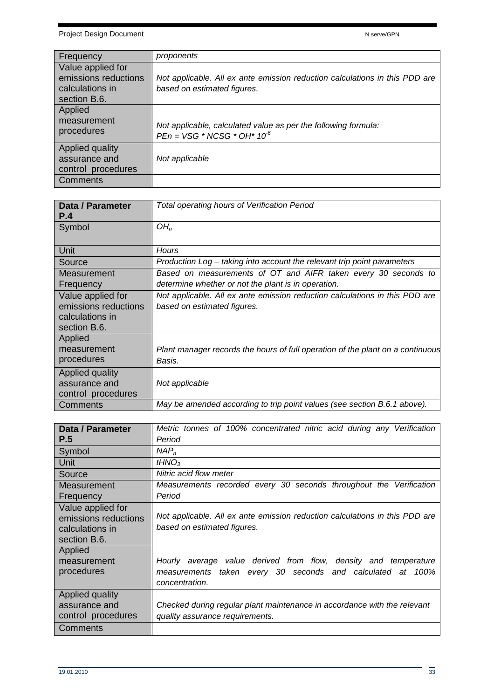| Frequency                                                                    | proponents                                                                                                 |
|------------------------------------------------------------------------------|------------------------------------------------------------------------------------------------------------|
| Value applied for<br>emissions reductions<br>calculations in<br>section B.6. | Not applicable. All ex ante emission reduction calculations in this PDD are<br>based on estimated figures. |
| Applied<br>measurement<br>procedures                                         | Not applicable, calculated value as per the following formula:<br>$PEn = VSG * NCSG * OH* 106$             |
| Applied quality<br>assurance and<br>control procedures                       | Not applicable                                                                                             |
| <b>Comments</b>                                                              |                                                                                                            |

| <b>Data / Parameter</b> | Total operating hours of Verification Period                                   |
|-------------------------|--------------------------------------------------------------------------------|
| P.4                     |                                                                                |
| Symbol                  | OH <sub>n</sub>                                                                |
|                         |                                                                                |
| Unit                    | Hours                                                                          |
| Source                  | Production Log – taking into account the relevant trip point parameters        |
| Measurement             | Based on measurements of OT and AIFR taken every 30 seconds to                 |
| Frequency               | determine whether or not the plant is in operation.                            |
| Value applied for       | Not applicable. All ex ante emission reduction calculations in this PDD are    |
| emissions reductions    | based on estimated figures.                                                    |
| calculations in         |                                                                                |
| section B.6.            |                                                                                |
| Applied                 |                                                                                |
| measurement             | Plant manager records the hours of full operation of the plant on a continuous |
| procedures              | Basis.                                                                         |
| Applied quality         |                                                                                |
| assurance and           | Not applicable                                                                 |
| control procedures      |                                                                                |
| Comments                | May be amended according to trip point values (see section B.6.1 above).       |

| <b>Data / Parameter</b><br>P.5                                               | Metric tonnes of 100% concentrated nitric acid during any Verification<br>Period                           |
|------------------------------------------------------------------------------|------------------------------------------------------------------------------------------------------------|
| Symbol                                                                       | NAP <sub>n</sub>                                                                                           |
| Unit                                                                         | tHNO <sub>3</sub>                                                                                          |
| Source                                                                       | Nitric acid flow meter                                                                                     |
| Measurement                                                                  | Measurements recorded every 30 seconds throughout the Verification                                         |
| Frequency                                                                    | Period                                                                                                     |
| Value applied for<br>emissions reductions<br>calculations in<br>section B.6. | Not applicable. All ex ante emission reduction calculations in this PDD are<br>based on estimated figures. |
| Applied                                                                      |                                                                                                            |
| measurement                                                                  | Hourly average value derived from flow, density and temperature                                            |
| procedures                                                                   | measurements taken every 30 seconds and calculated at 100%<br>concentration.                               |
| Applied quality                                                              |                                                                                                            |
| assurance and                                                                | Checked during regular plant maintenance in accordance with the relevant                                   |
| control procedures                                                           | quality assurance requirements.                                                                            |
| Comments                                                                     |                                                                                                            |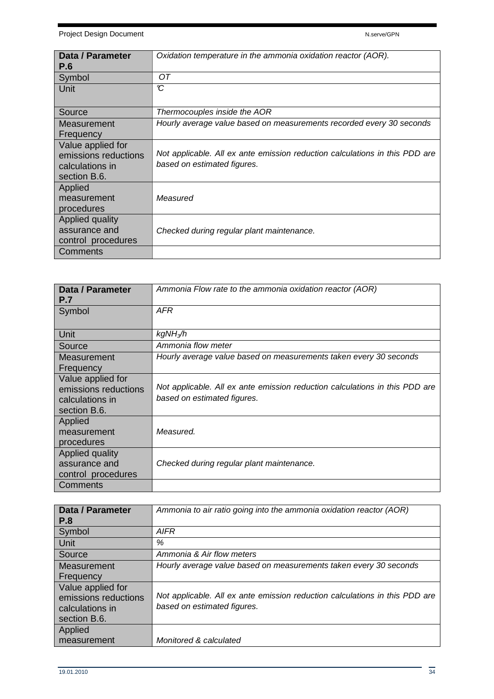Project Design Document National According to the National According National According National According National According National According National According National According National According National According N

| Data / Parameter<br><b>P.6</b>                                               | Oxidation temperature in the ammonia oxidation reactor (AOR).                                              |
|------------------------------------------------------------------------------|------------------------------------------------------------------------------------------------------------|
| Symbol                                                                       | ОT                                                                                                         |
| Unit                                                                         | $\mathbf c$                                                                                                |
| Source                                                                       | Thermocouples inside the AOR                                                                               |
| Measurement<br>Frequency                                                     | Hourly average value based on measurements recorded every 30 seconds                                       |
| Value applied for<br>emissions reductions<br>calculations in<br>section B.6. | Not applicable. All ex ante emission reduction calculations in this PDD are<br>based on estimated figures. |
| Applied<br>measurement<br>procedures                                         | Measured                                                                                                   |
| Applied quality<br>assurance and<br>control procedures                       | Checked during regular plant maintenance.                                                                  |
| Comments                                                                     |                                                                                                            |

| Data / Parameter<br><b>P.7</b>                                               | Ammonia Flow rate to the ammonia oxidation reactor (AOR)                                                   |
|------------------------------------------------------------------------------|------------------------------------------------------------------------------------------------------------|
| Symbol                                                                       | AFR                                                                                                        |
| Unit                                                                         | kgNH <sub>3</sub> /h                                                                                       |
| Source                                                                       | Ammonia flow meter                                                                                         |
| Measurement<br>Frequency                                                     | Hourly average value based on measurements taken every 30 seconds                                          |
| Value applied for<br>emissions reductions<br>calculations in<br>section B.6. | Not applicable. All ex ante emission reduction calculations in this PDD are<br>based on estimated figures. |
| Applied<br>measurement<br>procedures                                         | Measured.                                                                                                  |
| Applied quality<br>assurance and<br>control procedures                       | Checked during regular plant maintenance.                                                                  |
| Comments                                                                     |                                                                                                            |

| Data / Parameter<br><b>P.8</b>                                               | Ammonia to air ratio going into the ammonia oxidation reactor (AOR)                                        |
|------------------------------------------------------------------------------|------------------------------------------------------------------------------------------------------------|
| Symbol                                                                       | AIFR                                                                                                       |
| Unit                                                                         | %                                                                                                          |
| Source                                                                       | Ammonia & Air flow meters                                                                                  |
| Measurement                                                                  | Hourly average value based on measurements taken every 30 seconds                                          |
| Frequency                                                                    |                                                                                                            |
| Value applied for<br>emissions reductions<br>calculations in<br>section B.6. | Not applicable. All ex ante emission reduction calculations in this PDD are<br>based on estimated figures. |
| Applied                                                                      |                                                                                                            |
| measurement                                                                  | Monitored & calculated                                                                                     |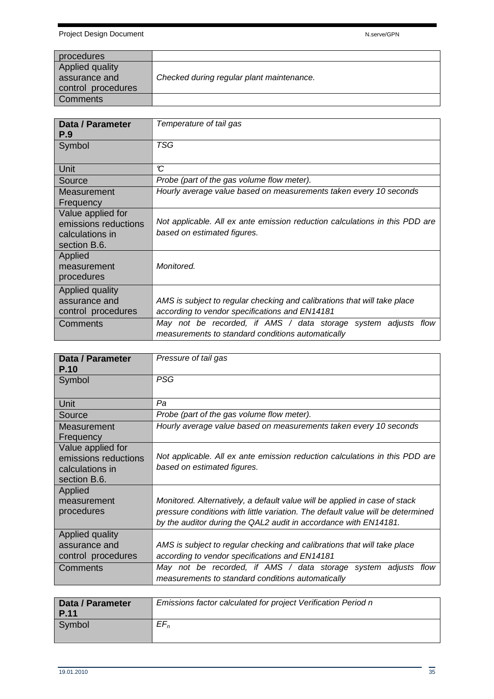| procedures         |                                           |
|--------------------|-------------------------------------------|
| Applied quality    |                                           |
| assurance and      | Checked during regular plant maintenance. |
| control procedures |                                           |
| Comments           |                                           |

| Data / Parameter<br>P.9                                                      | Temperature of tail gas                                                                                                                                                                         |
|------------------------------------------------------------------------------|-------------------------------------------------------------------------------------------------------------------------------------------------------------------------------------------------|
| Symbol                                                                       | TSG                                                                                                                                                                                             |
| Unit                                                                         | C                                                                                                                                                                                               |
| Source                                                                       | Probe (part of the gas volume flow meter).                                                                                                                                                      |
| Measurement<br>Frequency                                                     | Hourly average value based on measurements taken every 10 seconds                                                                                                                               |
| Value applied for<br>emissions reductions<br>calculations in<br>section B.6. | Not applicable. All ex ante emission reduction calculations in this PDD are<br>based on estimated figures.                                                                                      |
| Applied<br>measurement<br>procedures                                         | Monitored.                                                                                                                                                                                      |
| Applied quality<br>assurance and<br>control procedures<br>Comments           | AMS is subject to regular checking and calibrations that will take place<br>according to vendor specifications and EN14181<br>May not be recorded, if AMS / data storage system adjusts<br>flow |
|                                                                              | measurements to standard conditions automatically                                                                                                                                               |

| Data / Parameter<br><b>P.10</b>                                              | Pressure of tail gas                                                                                                                                                                                                                                 |
|------------------------------------------------------------------------------|------------------------------------------------------------------------------------------------------------------------------------------------------------------------------------------------------------------------------------------------------|
| Symbol                                                                       | <b>PSG</b>                                                                                                                                                                                                                                           |
| Unit                                                                         | Pa                                                                                                                                                                                                                                                   |
| Source                                                                       | Probe (part of the gas volume flow meter).                                                                                                                                                                                                           |
| Measurement<br>Frequency                                                     | Hourly average value based on measurements taken every 10 seconds                                                                                                                                                                                    |
| Value applied for<br>emissions reductions<br>calculations in<br>section B.6. | Not applicable. All ex ante emission reduction calculations in this PDD are<br>based on estimated figures.                                                                                                                                           |
| Applied<br>measurement<br>procedures                                         | Monitored. Alternatively, a default value will be applied in case of stack<br>pressure conditions with little variation. The default value will be determined<br>by the auditor during the QAL2 audit in accordance with EN14181.                    |
| Applied quality<br>assurance and<br>control procedures<br>Comments           | AMS is subject to regular checking and calibrations that will take place<br>according to vendor specifications and EN14181<br>May not be recorded, if AMS / data storage system adjusts<br>flow<br>measurements to standard conditions automatically |

| Data / Parameter<br><b>P.11</b> | Emissions factor calculated for project Verification Period n |
|---------------------------------|---------------------------------------------------------------|
| Symbol                          | $EF_n$                                                        |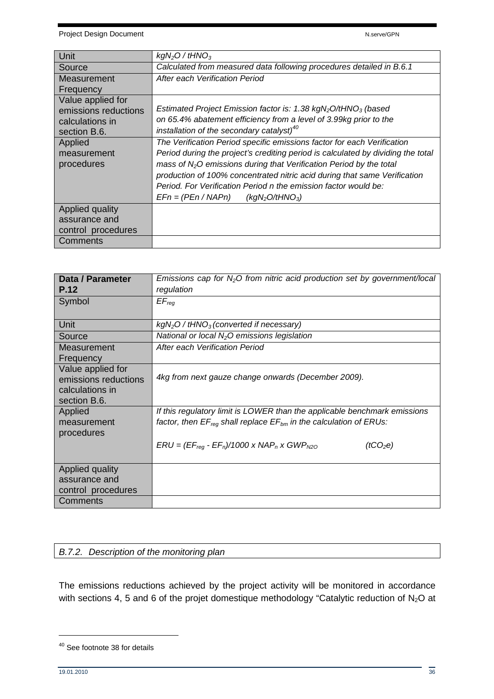Project Design Document National According to the N.serve/GPN National According to the N.serve/GPN

| Unit                 | $kgN2O$ / tHNO <sub>3</sub>                                                      |
|----------------------|----------------------------------------------------------------------------------|
| Source               | Calculated from measured data following procedures detailed in B.6.1             |
| Measurement          | After each Verification Period                                                   |
| Frequency            |                                                                                  |
| Value applied for    |                                                                                  |
| emissions reductions | Estimated Project Emission factor is: 1.38 $kgN_2O/HNO_3$ (based                 |
| calculations in      | on 65.4% abatement efficiency from a level of 3.99kg prior to the                |
| section B.6.         | installation of the secondary catalyst) <sup>40</sup>                            |
| Applied              | The Verification Period specific emissions factor for each Verification          |
| measurement          | Period during the project's crediting period is calculated by dividing the total |
| procedures           | mass of $N2O$ emissions during that Verification Period by the total             |
|                      | production of 100% concentrated nitric acid during that same Verification        |
|                      | Period. For Verification Period n the emission factor would be:                  |
|                      | $EFn = (PEn / NAPn)$<br>(kgN <sub>2</sub> O/tHNO <sub>3</sub> )                  |
| Applied quality      |                                                                                  |
| assurance and        |                                                                                  |
| control procedures   |                                                                                  |
| Comments             |                                                                                  |

| Data / Parameter<br>P.12                                                     | Emissions cap for $N_2O$ from nitric acid production set by government/local<br>regulation |
|------------------------------------------------------------------------------|--------------------------------------------------------------------------------------------|
| Symbol                                                                       | $EF_{req}$                                                                                 |
| Unit                                                                         | $kgN2O / tHNO3$ (converted if necessary)                                                   |
| Source                                                                       | National or local $N_2O$ emissions legislation                                             |
| Measurement<br>Frequency                                                     | After each Verification Period                                                             |
| Value applied for<br>emissions reductions<br>calculations in<br>section B.6. | 4kg from next gauze change onwards (December 2009).                                        |
| Applied                                                                      | If this regulatory limit is LOWER than the applicable benchmark emissions                  |
| measurement<br>procedures                                                    | factor, then $EF_{req}$ shall replace $EF_{bm}$ in the calculation of ERUs:                |
|                                                                              | $ERU = (EF_{reg} - EF_n)/1000 \times NAP_n \times GWP_{N20}$<br>(tCO <sub>2</sub> e)       |
| Applied quality                                                              |                                                                                            |
| assurance and                                                                |                                                                                            |
| control procedures                                                           |                                                                                            |
| Comments                                                                     |                                                                                            |

## B.7.2. Description of the monitoring plan

The emissions reductions achieved by the project activity will be monitored in accordance with sections 4, 5 and 6 of the projet domestique methodology "Catalytic reduction of  $N_2O$  at

<sup>40</sup> See footnote 38 for details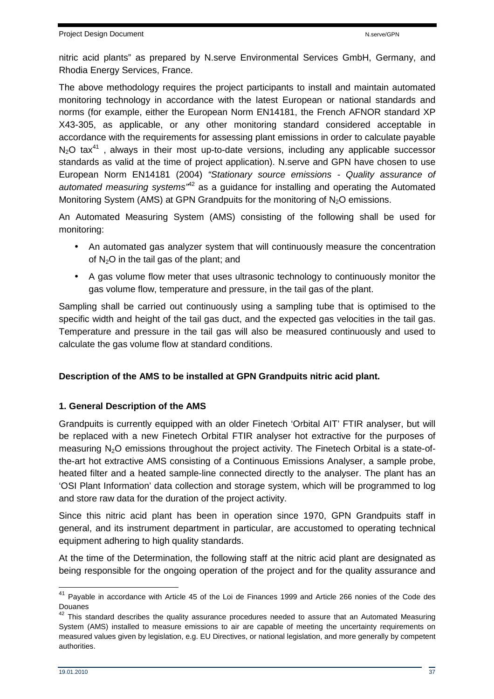nitric acid plants" as prepared by N.serve Environmental Services GmbH, Germany, and Rhodia Energy Services, France.

The above methodology requires the project participants to install and maintain automated monitoring technology in accordance with the latest European or national standards and norms (for example, either the European Norm EN14181, the French AFNOR standard XP X43-305, as applicable, or any other monitoring standard considered acceptable in accordance with the requirements for assessing plant emissions in order to calculate payable  $N_2$ O tax<sup>41</sup>, always in their most up-to-date versions, including any applicable successor standards as valid at the time of project application). N.serve and GPN have chosen to use European Norm EN14181 (2004) "Stationary source emissions - Quality assurance of automated measuring systems<sup> $n/42$ </sup> as a guidance for installing and operating the Automated Monitoring System (AMS) at GPN Grandpuits for the monitoring of N<sub>2</sub>O emissions.

An Automated Measuring System (AMS) consisting of the following shall be used for monitoring:

- An automated gas analyzer system that will continuously measure the concentration of  $N_2O$  in the tail gas of the plant; and
- A gas volume flow meter that uses ultrasonic technology to continuously monitor the gas volume flow, temperature and pressure, in the tail gas of the plant.

Sampling shall be carried out continuously using a sampling tube that is optimised to the specific width and height of the tail gas duct, and the expected gas velocities in the tail gas. Temperature and pressure in the tail gas will also be measured continuously and used to calculate the gas volume flow at standard conditions.

## **Description of the AMS to be installed at GPN Grandpuits nitric acid plant.**

## **1. General Description of the AMS**

Grandpuits is currently equipped with an older Finetech 'Orbital AIT' FTIR analyser, but will be replaced with a new Finetech Orbital FTIR analyser hot extractive for the purposes of measuring  $N_2O$  emissions throughout the project activity. The Finetech Orbital is a state-ofthe-art hot extractive AMS consisting of a Continuous Emissions Analyser, a sample probe, heated filter and a heated sample-line connected directly to the analyser. The plant has an 'OSI Plant Information' data collection and storage system, which will be programmed to log and store raw data for the duration of the project activity.

Since this nitric acid plant has been in operation since 1970, GPN Grandpuits staff in general, and its instrument department in particular, are accustomed to operating technical equipment adhering to high quality standards.

At the time of the Determination, the following staff at the nitric acid plant are designated as being responsible for the ongoing operation of the project and for the quality assurance and

 $41$  Payable in accordance with Article 45 of the Loi de Finances 1999 and Article 266 nonies of the Code des Douanes

<sup>&</sup>lt;sup>42</sup> This standard describes the quality assurance procedures needed to assure that an Automated Measuring System (AMS) installed to measure emissions to air are capable of meeting the uncertainty requirements on measured values given by legislation, e.g. EU Directives, or national legislation, and more generally by competent authorities.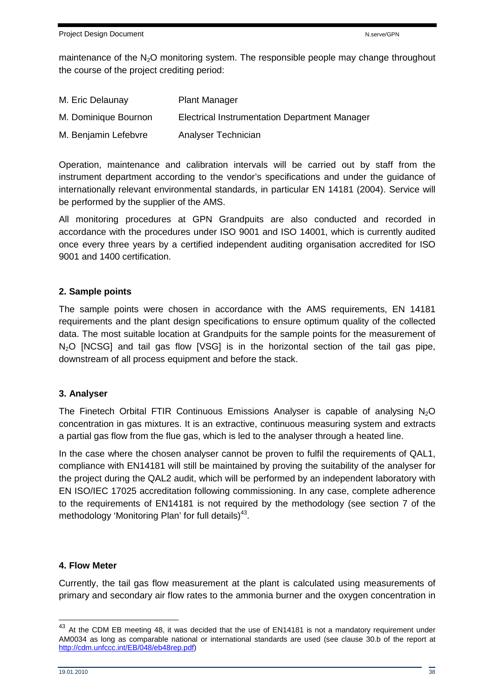maintenance of the  $N_2O$  monitoring system. The responsible people may change throughout the course of the project crediting period:

| M. Eric Delaunay     | <b>Plant Manager</b>                                 |
|----------------------|------------------------------------------------------|
| M. Dominique Bournon | <b>Electrical Instrumentation Department Manager</b> |
| M. Benjamin Lefebvre | Analyser Technician                                  |

Operation, maintenance and calibration intervals will be carried out by staff from the instrument department according to the vendor's specifications and under the guidance of internationally relevant environmental standards, in particular EN 14181 (2004). Service will be performed by the supplier of the AMS.

All monitoring procedures at GPN Grandpuits are also conducted and recorded in accordance with the procedures under ISO 9001 and ISO 14001, which is currently audited once every three years by a certified independent auditing organisation accredited for ISO 9001 and 1400 certification.

## **2. Sample points**

The sample points were chosen in accordance with the AMS requirements, EN 14181 requirements and the plant design specifications to ensure optimum quality of the collected data. The most suitable location at Grandpuits for the sample points for the measurement of  $N<sub>2</sub>O$  [NCSG] and tail gas flow [VSG] is in the horizontal section of the tail gas pipe, downstream of all process equipment and before the stack.

## **3. Analyser**

The Finetech Orbital FTIR Continuous Emissions Analyser is capable of analysing  $N_2O$ concentration in gas mixtures. It is an extractive, continuous measuring system and extracts a partial gas flow from the flue gas, which is led to the analyser through a heated line.

In the case where the chosen analyser cannot be proven to fulfil the requirements of QAL1, compliance with EN14181 will still be maintained by proving the suitability of the analyser for the project during the QAL2 audit, which will be performed by an independent laboratory with EN ISO/IEC 17025 accreditation following commissioning. In any case, complete adherence to the requirements of EN14181 is not required by the methodology (see section 7 of the methodology 'Monitoring Plan' for full details) $43$ .

## **4. Flow Meter**

Currently, the tail gas flow measurement at the plant is calculated using measurements of primary and secondary air flow rates to the ammonia burner and the oxygen concentration in

 $^{43}$  At the CDM EB meeting 48, it was decided that the use of EN14181 is not a mandatory requirement under AM0034 as long as comparable national or international standards are used (see clause 30.b of the report at http://cdm.unfccc.int/EB/048/eb48rep.pdf)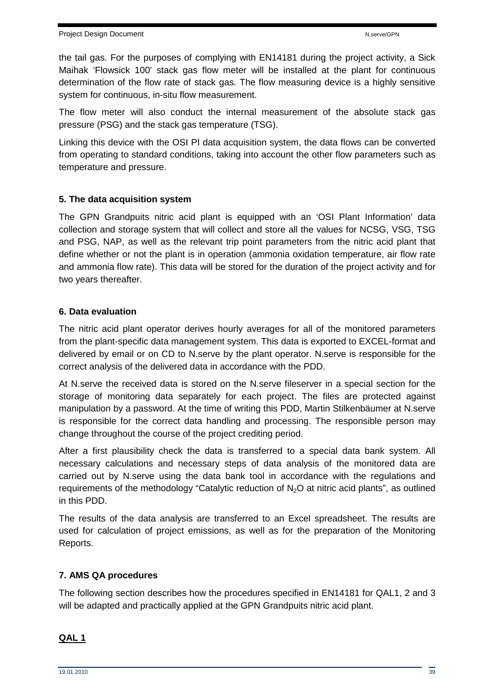the tail gas. For the purposes of complying with EN14181 during the project activity, a Sick Maihak 'Flowsick 100' stack gas flow meter will be installed at the plant for continuous determination of the flow rate of stack gas. The flow measuring device is a highly sensitive system for continuous, in-situ flow measurement.

The flow meter will also conduct the internal measurement of the absolute stack gas pressure (PSG) and the stack gas temperature (TSG).

Linking this device with the OSI PI data acquisition system, the data flows can be converted from operating to standard conditions, taking into account the other flow parameters such as temperature and pressure.

## **5. The data acquisition system**

The GPN Grandpuits nitric acid plant is equipped with an 'OSI Plant Information' data collection and storage system that will collect and store all the values for NCSG, VSG, TSG and PSG, NAP, as well as the relevant trip point parameters from the nitric acid plant that define whether or not the plant is in operation (ammonia oxidation temperature, air flow rate and ammonia flow rate). This data will be stored for the duration of the project activity and for two years thereafter.

## **6. Data evaluation**

The nitric acid plant operator derives hourly averages for all of the monitored parameters from the plant-specific data management system. This data is exported to EXCEL-format and delivered by email or on CD to N.serve by the plant operator. N.serve is responsible for the correct analysis of the delivered data in accordance with the PDD.

At N.serve the received data is stored on the N.serve fileserver in a special section for the storage of monitoring data separately for each project. The files are protected against manipulation by a password. At the time of writing this PDD, Martin Stilkenbäumer at N.serve is responsible for the correct data handling and processing. The responsible person may change throughout the course of the project crediting period.

After a first plausibility check the data is transferred to a special data bank system. All necessary calculations and necessary steps of data analysis of the monitored data are carried out by N.serve using the data bank tool in accordance with the regulations and requirements of the methodology "Catalytic reduction of  $N_2O$  at nitric acid plants", as outlined in this PDD.

The results of the data analysis are transferred to an Excel spreadsheet. The results are used for calculation of project emissions, as well as for the preparation of the Monitoring Reports.

## **7. AMS QA procedures**

The following section describes how the procedures specified in EN14181 for QAL1, 2 and 3 will be adapted and practically applied at the GPN Grandpuits nitric acid plant.

## **QAL 1**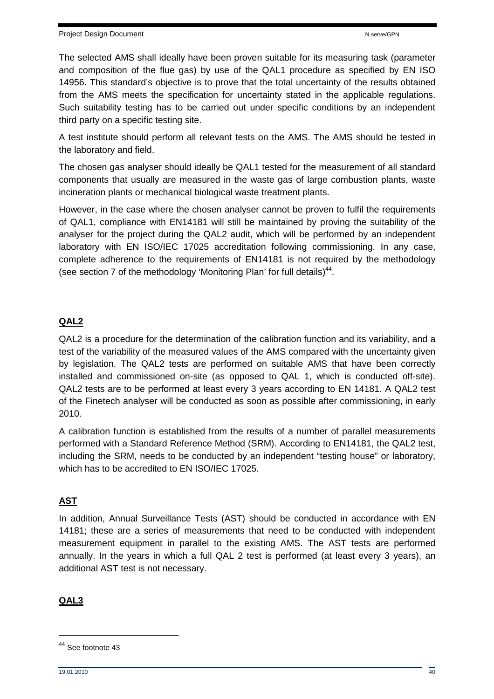The selected AMS shall ideally have been proven suitable for its measuring task (parameter and composition of the flue gas) by use of the QAL1 procedure as specified by EN ISO 14956. This standard's objective is to prove that the total uncertainty of the results obtained from the AMS meets the specification for uncertainty stated in the applicable regulations. Such suitability testing has to be carried out under specific conditions by an independent third party on a specific testing site.

A test institute should perform all relevant tests on the AMS. The AMS should be tested in the laboratory and field.

The chosen gas analyser should ideally be QAL1 tested for the measurement of all standard components that usually are measured in the waste gas of large combustion plants, waste incineration plants or mechanical biological waste treatment plants.

However, in the case where the chosen analyser cannot be proven to fulfil the requirements of QAL1, compliance with EN14181 will still be maintained by proving the suitability of the analyser for the project during the QAL2 audit, which will be performed by an independent laboratory with EN ISO/IEC 17025 accreditation following commissioning. In any case, complete adherence to the requirements of EN14181 is not required by the methodology (see section 7 of the methodology 'Monitoring Plan' for full details) $44$ .

## **QAL2**

QAL2 is a procedure for the determination of the calibration function and its variability, and a test of the variability of the measured values of the AMS compared with the uncertainty given by legislation. The QAL2 tests are performed on suitable AMS that have been correctly installed and commissioned on-site (as opposed to QAL 1, which is conducted off-site). QAL2 tests are to be performed at least every 3 years according to EN 14181. A QAL2 test of the Finetech analyser will be conducted as soon as possible after commissioning, in early 2010.

A calibration function is established from the results of a number of parallel measurements performed with a Standard Reference Method (SRM). According to EN14181, the QAL2 test, including the SRM, needs to be conducted by an independent "testing house" or laboratory, which has to be accredited to EN ISO/IEC 17025.

## **AST**

In addition, Annual Surveillance Tests (AST) should be conducted in accordance with EN 14181; these are a series of measurements that need to be conducted with independent measurement equipment in parallel to the existing AMS. The AST tests are performed annually. In the years in which a full QAL 2 test is performed (at least every 3 years), an additional AST test is not necessary.

## **QAL3**

<sup>44</sup> See footnote 43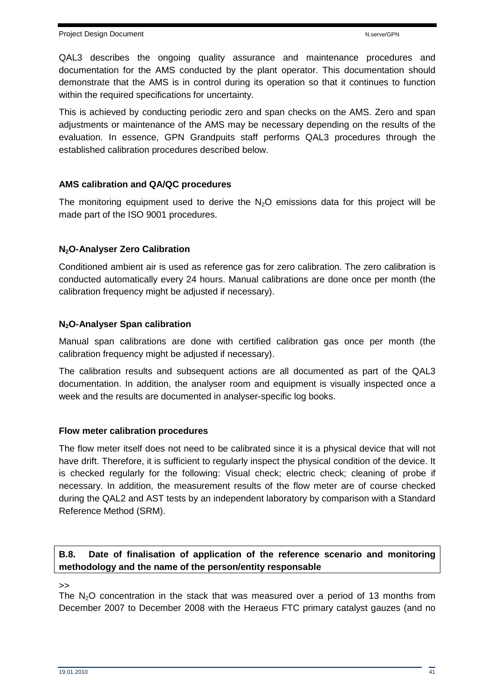QAL3 describes the ongoing quality assurance and maintenance procedures and documentation for the AMS conducted by the plant operator. This documentation should demonstrate that the AMS is in control during its operation so that it continues to function within the required specifications for uncertainty.

This is achieved by conducting periodic zero and span checks on the AMS. Zero and span adjustments or maintenance of the AMS may be necessary depending on the results of the evaluation. In essence, GPN Grandpuits staff performs QAL3 procedures through the established calibration procedures described below.

## **AMS calibration and QA/QC procedures**

The monitoring equipment used to derive the  $N_2O$  emissions data for this project will be made part of the ISO 9001 procedures.

## **N2O-Analyser Zero Calibration**

Conditioned ambient air is used as reference gas for zero calibration. The zero calibration is conducted automatically every 24 hours. Manual calibrations are done once per month (the calibration frequency might be adjusted if necessary).

## **N2O-Analyser Span calibration**

Manual span calibrations are done with certified calibration gas once per month (the calibration frequency might be adjusted if necessary).

The calibration results and subsequent actions are all documented as part of the QAL3 documentation. In addition, the analyser room and equipment is visually inspected once a week and the results are documented in analyser-specific log books.

## **Flow meter calibration procedures**

The flow meter itself does not need to be calibrated since it is a physical device that will not have drift. Therefore, it is sufficient to regularly inspect the physical condition of the device. It is checked regularly for the following: Visual check; electric check; cleaning of probe if necessary. In addition, the measurement results of the flow meter are of course checked during the QAL2 and AST tests by an independent laboratory by comparison with a Standard Reference Method (SRM).

## **B.8. Date of finalisation of application of the reference scenario and monitoring methodology and the name of the person/entity responsable**

#### $\rightarrow$

The  $N<sub>2</sub>O$  concentration in the stack that was measured over a period of 13 months from December 2007 to December 2008 with the Heraeus FTC primary catalyst gauzes (and no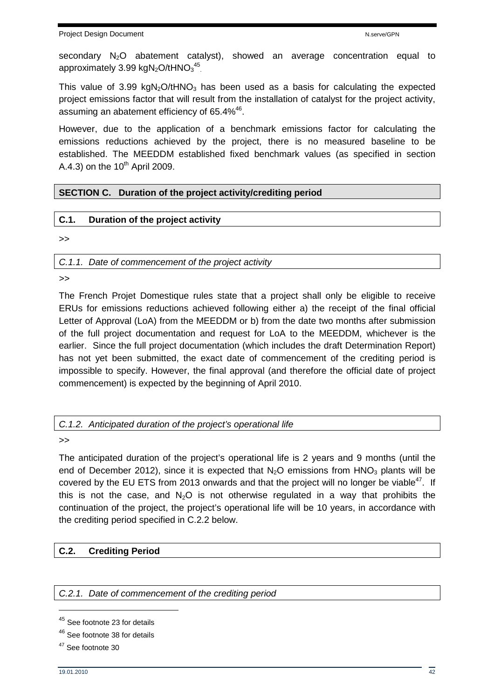secondary N<sub>2</sub>O abatement catalyst), showed an average concentration equal to approximately 3.99 kgN<sub>2</sub>O/tHNO<sub>3</sub><sup>45</sup>.

This value of 3.99 kgN<sub>2</sub>O/tHNO<sub>3</sub> has been used as a basis for calculating the expected project emissions factor that will result from the installation of catalyst for the project activity, assuming an abatement efficiency of 65.4% $46$ .

However, due to the application of a benchmark emissions factor for calculating the emissions reductions achieved by the project, there is no measured baseline to be established. The MEEDDM established fixed benchmark values (as specified in section A.4.3) on the  $10<sup>th</sup>$  April 2009.

## **SECTION C. Duration of the project activity/crediting period**

## **C.1. Duration of the project activity**

>>

C.1.1. Date of commencement of the project activity

>>

The French Projet Domestique rules state that a project shall only be eligible to receive ERUs for emissions reductions achieved following either a) the receipt of the final official Letter of Approval (LoA) from the MEEDDM or b) from the date two months after submission of the full project documentation and request for LoA to the MEEDDM, whichever is the earlier. Since the full project documentation (which includes the draft Determination Report) has not yet been submitted, the exact date of commencement of the crediting period is impossible to specify. However, the final approval (and therefore the official date of project commencement) is expected by the beginning of April 2010.

C.1.2. Anticipated duration of the project's operational life

>>

The anticipated duration of the project's operational life is 2 years and 9 months (until the end of December 2012), since it is expected that  $N<sub>2</sub>O$  emissions from  $HNO<sub>3</sub>$  plants will be covered by the EU ETS from 2013 onwards and that the project will no longer be viable<sup>47</sup>. If this is not the case, and  $N_2O$  is not otherwise regulated in a way that prohibits the continuation of the project, the project's operational life will be 10 years, in accordance with the crediting period specified in C.2.2 below.

## **C.2. Crediting Period**

C.2.1. Date of commencement of the crediting period

<sup>45</sup> See footnote 23 for details

<sup>46</sup> See footnote 38 for details

<sup>&</sup>lt;sup>47</sup> See footnote 30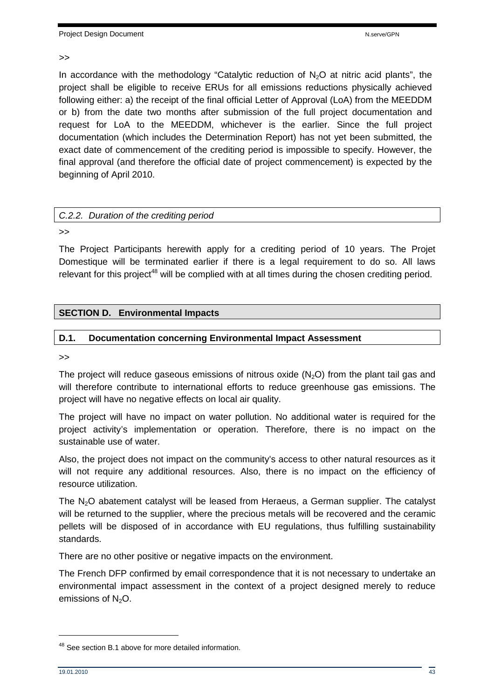#### >>

In accordance with the methodology "Catalytic reduction of  $N_2O$  at nitric acid plants", the project shall be eligible to receive ERUs for all emissions reductions physically achieved following either: a) the receipt of the final official Letter of Approval (LoA) from the MEEDDM or b) from the date two months after submission of the full project documentation and request for LoA to the MEEDDM, whichever is the earlier. Since the full project documentation (which includes the Determination Report) has not yet been submitted, the exact date of commencement of the crediting period is impossible to specify. However, the final approval (and therefore the official date of project commencement) is expected by the beginning of April 2010.

|  | C.2.2. Duration of the crediting period |  |  |  |
|--|-----------------------------------------|--|--|--|
|--|-----------------------------------------|--|--|--|

>>

The Project Participants herewith apply for a crediting period of 10 years. The Projet Domestique will be terminated earlier if there is a legal requirement to do so. All laws relevant for this project<sup>48</sup> will be complied with at all times during the chosen crediting period.

#### **D.1. Documentation concerning Environmental Impact Assessment**

>>

The project will reduce gaseous emissions of nitrous oxide  $(N<sub>2</sub>O)$  from the plant tail gas and will therefore contribute to international efforts to reduce greenhouse gas emissions. The project will have no negative effects on local air quality.

The project will have no impact on water pollution. No additional water is required for the project activity's implementation or operation. Therefore, there is no impact on the sustainable use of water.

Also, the project does not impact on the community's access to other natural resources as it will not require any additional resources. Also, there is no impact on the efficiency of resource utilization.

The  $N_2O$  abatement catalyst will be leased from Heraeus, a German supplier. The catalyst will be returned to the supplier, where the precious metals will be recovered and the ceramic pellets will be disposed of in accordance with EU regulations, thus fulfilling sustainability standards.

There are no other positive or negative impacts on the environment.

The French DFP confirmed by email correspondence that it is not necessary to undertake an environmental impact assessment in the context of a project designed merely to reduce emissions of  $N<sub>2</sub>O$ .

<sup>&</sup>lt;sup>48</sup> See section B.1 above for more detailed information.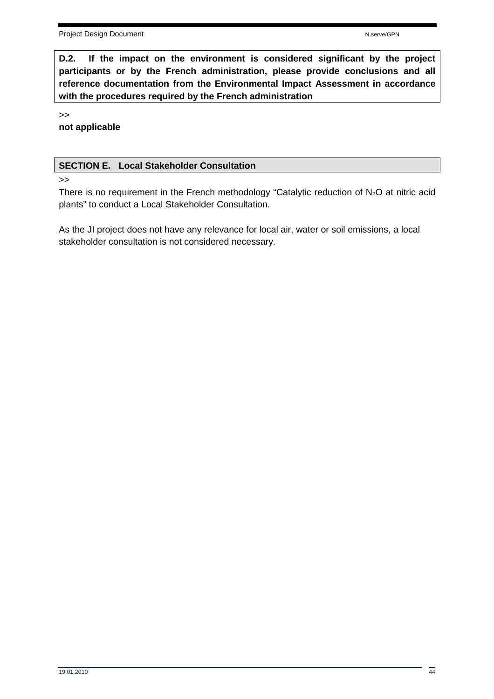**D.2. If the impact on the environment is considered significant by the project participants or by the French administration, please provide conclusions and all reference documentation from the Environmental Impact Assessment in accordance with the procedures required by the French administration** 

>>

**not applicable**

### **SECTION E. Local Stakeholder Consultation**

>>

There is no requirement in the French methodology "Catalytic reduction of  $N_2O$  at nitric acid plants" to conduct a Local Stakeholder Consultation.

As the JI project does not have any relevance for local air, water or soil emissions, a local stakeholder consultation is not considered necessary.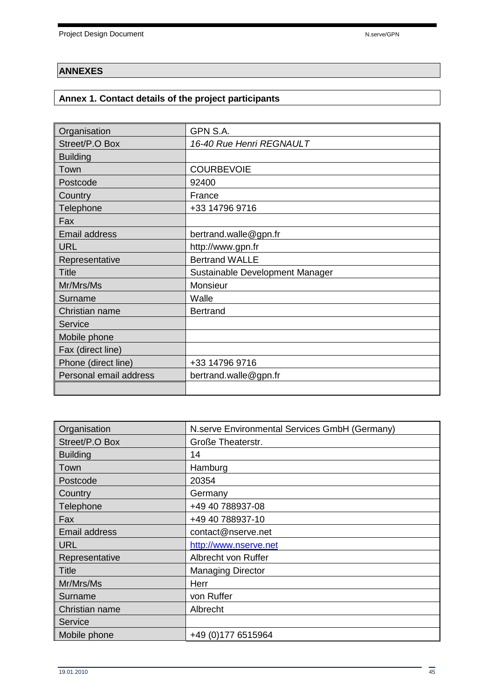## **ANNEXES**

## **Annex 1. Contact details of the project participants**

| Organisation           | GPN S.A.                        |
|------------------------|---------------------------------|
| Street/P.O Box         | 16-40 Rue Henri REGNAULT        |
| <b>Building</b>        |                                 |
| Town                   | <b>COURBEVOIE</b>               |
| Postcode               | 92400                           |
| Country                | France                          |
| Telephone              | +33 14796 9716                  |
| Fax                    |                                 |
| <b>Email address</b>   | bertrand.walle@gpn.fr           |
| <b>URL</b>             | http://www.gpn.fr               |
| Representative         | <b>Bertrand WALLE</b>           |
| <b>Title</b>           | Sustainable Development Manager |
| Mr/Mrs/Ms              | Monsieur                        |
| Surname                | Walle                           |
| Christian name         | <b>Bertrand</b>                 |
| Service                |                                 |
| Mobile phone           |                                 |
| Fax (direct line)      |                                 |
| Phone (direct line)    | +33 14796 9716                  |
| Personal email address | bertrand.walle@gpn.fr           |
|                        |                                 |

| Organisation         | N.serve Environmental Services GmbH (Germany) |
|----------------------|-----------------------------------------------|
| Street/P.O Box       | Große Theaterstr.                             |
| <b>Building</b>      | 14                                            |
| Town                 | Hamburg                                       |
| Postcode             | 20354                                         |
| Country              | Germany                                       |
| Telephone            | +49 40 788937-08                              |
| Fax                  | +49 40 788937-10                              |
| <b>Email address</b> | contact@nserve.net                            |
| <b>URL</b>           | http://www.nserve.net                         |
| Representative       | Albrecht von Ruffer                           |
| Title                | <b>Managing Director</b>                      |
| Mr/Mrs/Ms            | Herr                                          |
| Surname              | von Ruffer                                    |
| Christian name       | Albrecht                                      |
| Service              |                                               |
| Mobile phone         | +49 (0) 177 6515964                           |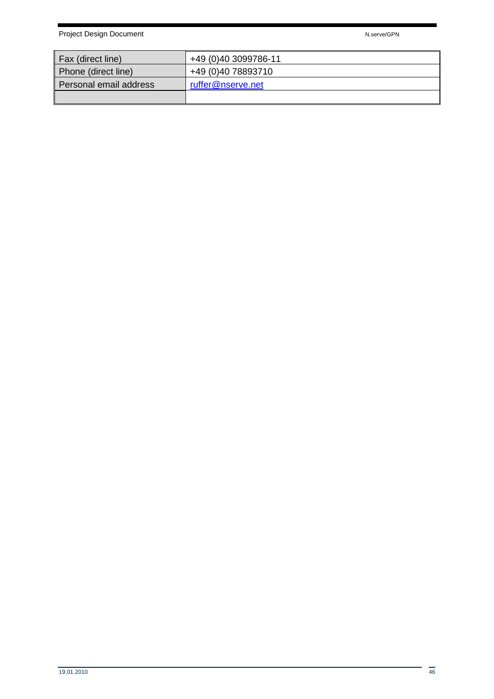Project Design Document National According to the National According National According National According National According National According National According National According National According National According N

| Fax (direct line)      | +49 (0)40 3099786-11 |
|------------------------|----------------------|
| Phone (direct line)    | +49 (0)40 78893710   |
| Personal email address | ruffer@nserve.net    |
|                        |                      |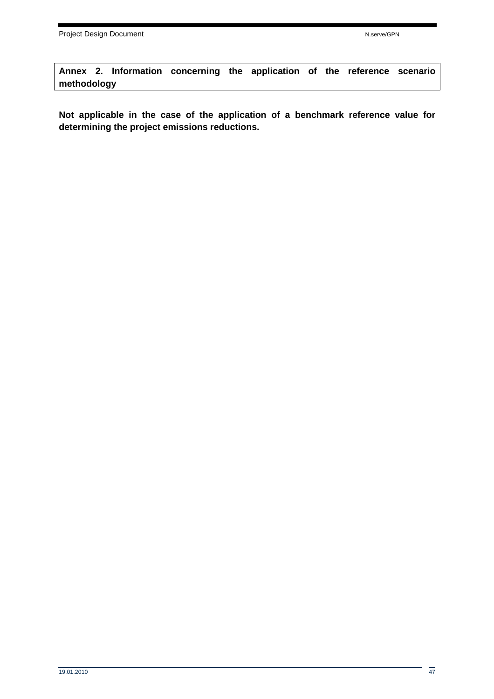**Annex 2. Information concerning the application of the reference scenario methodology** 

**Not applicable in the case of the application of a benchmark reference value for determining the project emissions reductions.**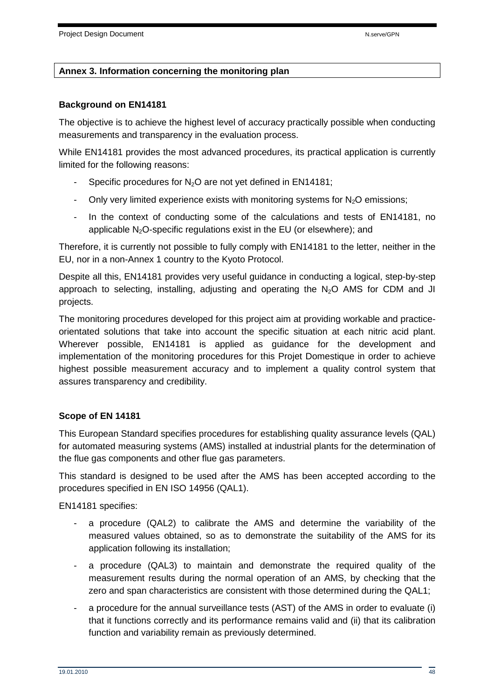### **Annex 3. Information concerning the monitoring plan**

#### **Background on EN14181**

The objective is to achieve the highest level of accuracy practically possible when conducting measurements and transparency in the evaluation process.

While EN14181 provides the most advanced procedures, its practical application is currently limited for the following reasons:

- Specific procedures for  $N_2O$  are not yet defined in EN14181;
- Only very limited experience exists with monitoring systems for  $N_2O$  emissions;
- In the context of conducting some of the calculations and tests of EN14181, no applicable  $N_2O$ -specific regulations exist in the EU (or elsewhere); and

Therefore, it is currently not possible to fully comply with EN14181 to the letter, neither in the EU, nor in a non-Annex 1 country to the Kyoto Protocol.

Despite all this, EN14181 provides very useful guidance in conducting a logical, step-by-step approach to selecting, installing, adjusting and operating the  $N_2O$  AMS for CDM and JI projects.

The monitoring procedures developed for this project aim at providing workable and practiceorientated solutions that take into account the specific situation at each nitric acid plant. Wherever possible, EN14181 is applied as guidance for the development and implementation of the monitoring procedures for this Projet Domestique in order to achieve highest possible measurement accuracy and to implement a quality control system that assures transparency and credibility.

#### **Scope of EN 14181**

This European Standard specifies procedures for establishing quality assurance levels (QAL) for automated measuring systems (AMS) installed at industrial plants for the determination of the flue gas components and other flue gas parameters.

This standard is designed to be used after the AMS has been accepted according to the procedures specified in EN ISO 14956 (QAL1).

EN14181 specifies:

- a procedure (QAL2) to calibrate the AMS and determine the variability of the measured values obtained, so as to demonstrate the suitability of the AMS for its application following its installation;
- a procedure (QAL3) to maintain and demonstrate the required quality of the measurement results during the normal operation of an AMS, by checking that the zero and span characteristics are consistent with those determined during the QAL1;
- a procedure for the annual surveillance tests (AST) of the AMS in order to evaluate (i) that it functions correctly and its performance remains valid and (ii) that its calibration function and variability remain as previously determined.